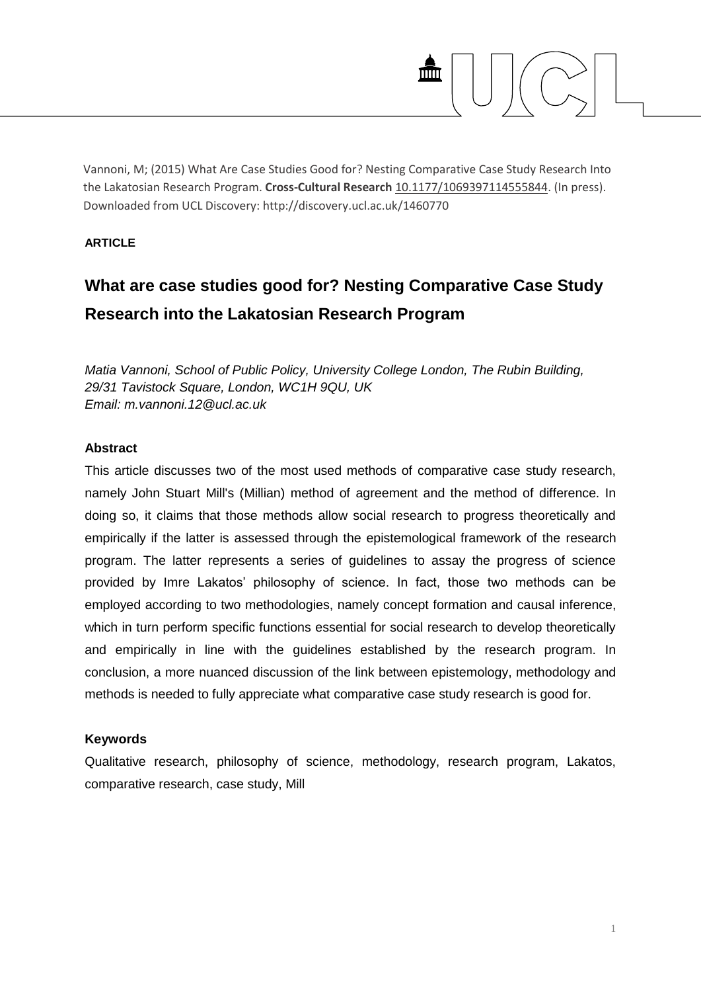# $\widehat{\mathbb{m}}$

Vannoni, M; (2015) What Are Case Studies Good for? Nesting Comparative Case Study Research Into the Lakatosian Research Program. **Cross-Cultural Research** [10.1177/1069397114555844.](http://dx.doi.org/10.1177/1069397114555844) (In press). Downloaded from UCL Discovery: http://discovery.ucl.ac.uk/1460770

# **ARTICLE**

# **What are case studies good for? Nesting Comparative Case Study Research into the Lakatosian Research Program**

*Matia Vannoni, School of Public Policy, University College London, The Rubin Building, 29/31 Tavistock Square, London, WC1H 9QU, UK Email: m.vannoni.12@ucl.ac.uk*

## **Abstract**

This article discusses two of the most used methods of comparative case study research, namely John Stuart Mill's (Millian) method of agreement and the method of difference. In doing so, it claims that those methods allow social research to progress theoretically and empirically if the latter is assessed through the epistemological framework of the research program. The latter represents a series of guidelines to assay the progress of science provided by Imre Lakatos' philosophy of science. In fact, those two methods can be employed according to two methodologies, namely concept formation and causal inference, which in turn perform specific functions essential for social research to develop theoretically and empirically in line with the guidelines established by the research program. In conclusion, a more nuanced discussion of the link between epistemology, methodology and methods is needed to fully appreciate what comparative case study research is good for.

## **Keywords**

Qualitative research, philosophy of science, methodology, research program, Lakatos, comparative research, case study, Mill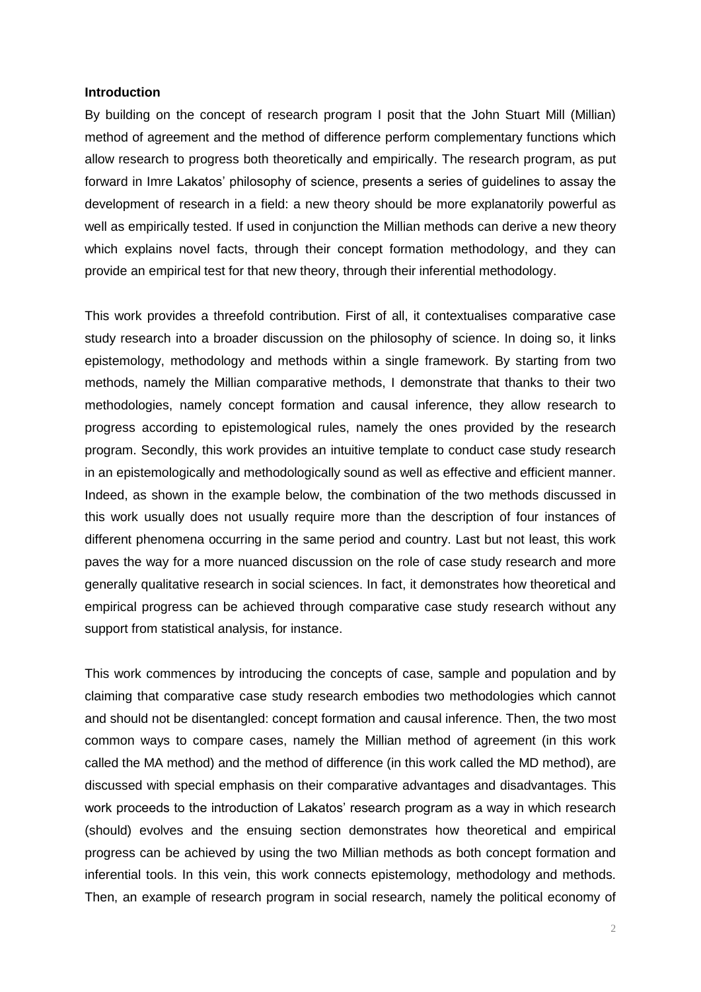#### **Introduction**

By building on the concept of research program I posit that the John Stuart Mill (Millian) method of agreement and the method of difference perform complementary functions which allow research to progress both theoretically and empirically. The research program, as put forward in Imre Lakatos' philosophy of science, presents a series of guidelines to assay the development of research in a field: a new theory should be more explanatorily powerful as well as empirically tested. If used in conjunction the Millian methods can derive a new theory which explains novel facts, through their concept formation methodology, and they can provide an empirical test for that new theory, through their inferential methodology.

This work provides a threefold contribution. First of all, it contextualises comparative case study research into a broader discussion on the philosophy of science. In doing so, it links epistemology, methodology and methods within a single framework. By starting from two methods, namely the Millian comparative methods, I demonstrate that thanks to their two methodologies, namely concept formation and causal inference, they allow research to progress according to epistemological rules, namely the ones provided by the research program. Secondly, this work provides an intuitive template to conduct case study research in an epistemologically and methodologically sound as well as effective and efficient manner. Indeed, as shown in the example below, the combination of the two methods discussed in this work usually does not usually require more than the description of four instances of different phenomena occurring in the same period and country. Last but not least, this work paves the way for a more nuanced discussion on the role of case study research and more generally qualitative research in social sciences. In fact, it demonstrates how theoretical and empirical progress can be achieved through comparative case study research without any support from statistical analysis, for instance.

This work commences by introducing the concepts of case, sample and population and by claiming that comparative case study research embodies two methodologies which cannot and should not be disentangled: concept formation and causal inference. Then, the two most common ways to compare cases, namely the Millian method of agreement (in this work called the MA method) and the method of difference (in this work called the MD method), are discussed with special emphasis on their comparative advantages and disadvantages. This work proceeds to the introduction of Lakatos' research program as a way in which research (should) evolves and the ensuing section demonstrates how theoretical and empirical progress can be achieved by using the two Millian methods as both concept formation and inferential tools. In this vein, this work connects epistemology, methodology and methods. Then, an example of research program in social research, namely the political economy of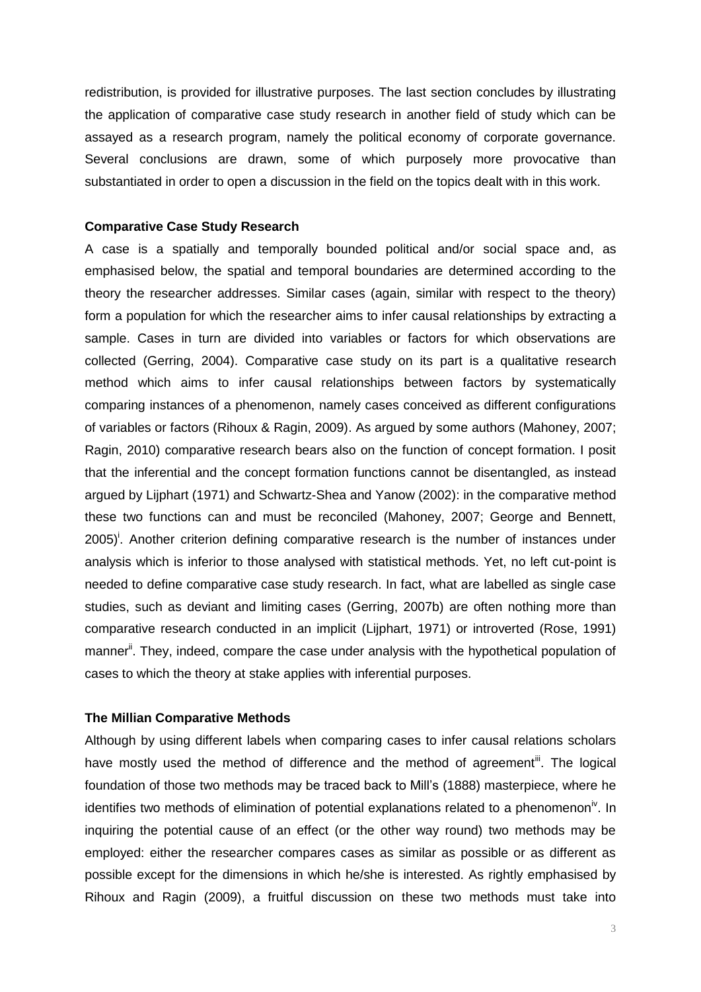redistribution, is provided for illustrative purposes. The last section concludes by illustrating the application of comparative case study research in another field of study which can be assayed as a research program, namely the political economy of corporate governance. Several conclusions are drawn, some of which purposely more provocative than substantiated in order to open a discussion in the field on the topics dealt with in this work.

#### **Comparative Case Study Research**

A case is a spatially and temporally bounded political and/or social space and, as emphasised below, the spatial and temporal boundaries are determined according to the theory the researcher addresses. Similar cases (again, similar with respect to the theory) form a population for which the researcher aims to infer causal relationships by extracting a sample. Cases in turn are divided into variables or factors for which observations are collected (Gerring, 2004). Comparative case study on its part is a qualitative research method which aims to infer causal relationships between factors by systematically comparing instances of a phenomenon, namely cases conceived as different configurations of variables or factors (Rihoux & Ragin, 2009). As argued by some authors (Mahoney, 2007; Ragin, 2010) comparative research bears also on the function of concept formation. I posit that the inferential and the concept formation functions cannot be disentangled, as instead argued by Lijphart (1971) and Schwartz-Shea and Yanow (2002): in the comparative method these two functions can and must be reconciled (Mahoney, 2007; George and Bennett,  $2005$ <sup> $i$ </sup>. Another criterion defining comparative research is the number of instances under analysis which is inferior to those analysed with statistical methods. Yet, no left cut-point is needed to define comparative case study research. In fact, what are labelled as single case studies, such as deviant and limiting cases (Gerring, 2007b) are often nothing more than comparative research conducted in an implicit (Lijphart, 1971) or introverted (Rose, 1991) manner<sup>ii</sup>. They, indeed, compare the case under analysis with the hypothetical population of cases to which the theory at stake applies with inferential purposes.

#### **The Millian Comparative Methods**

Although by using different labels when comparing cases to infer causal relations scholars have mostly used the method of difference and the method of agreement<sup>iit</sup>. The logical foundation of those two methods may be traced back to Mill's (1888) masterpiece, where he identifies two methods of elimination of potential explanations related to a phenomenon<sup>iv</sup>. In inquiring the potential cause of an effect (or the other way round) two methods may be employed: either the researcher compares cases as similar as possible or as different as possible except for the dimensions in which he/she is interested. As rightly emphasised by Rihoux and Ragin (2009), a fruitful discussion on these two methods must take into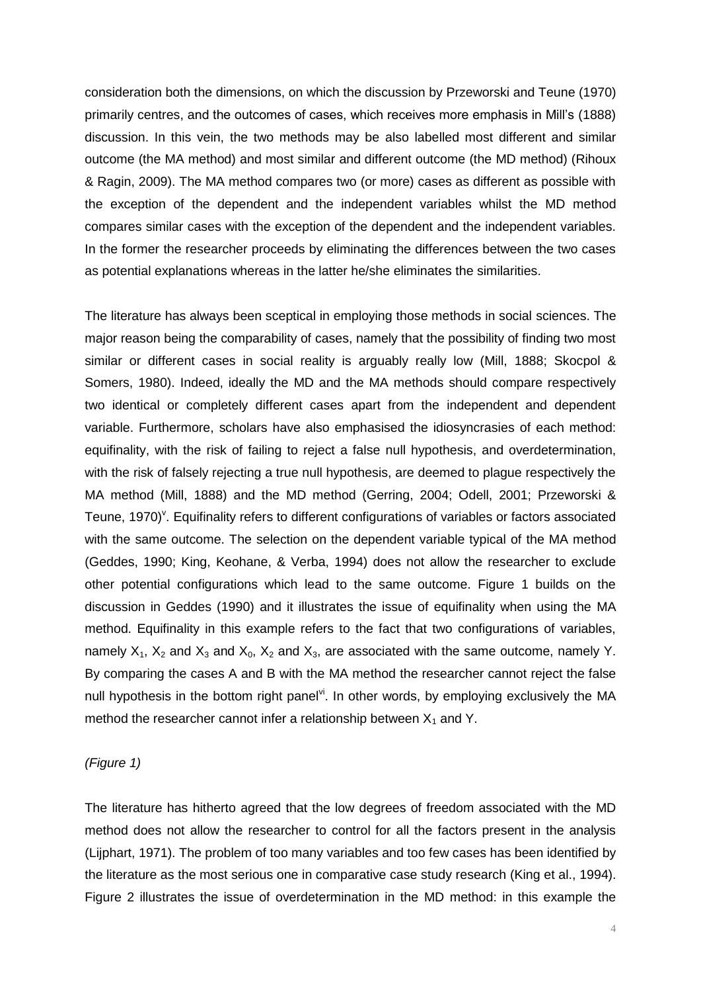consideration both the dimensions, on which the discussion by Przeworski and Teune (1970) primarily centres, and the outcomes of cases, which receives more emphasis in Mill's (1888) discussion. In this vein, the two methods may be also labelled most different and similar outcome (the MA method) and most similar and different outcome (the MD method) (Rihoux & Ragin, 2009). The MA method compares two (or more) cases as different as possible with the exception of the dependent and the independent variables whilst the MD method compares similar cases with the exception of the dependent and the independent variables. In the former the researcher proceeds by eliminating the differences between the two cases as potential explanations whereas in the latter he/she eliminates the similarities.

The literature has always been sceptical in employing those methods in social sciences. The major reason being the comparability of cases, namely that the possibility of finding two most similar or different cases in social reality is arguably really low (Mill, 1888; Skocpol & Somers, 1980). Indeed, ideally the MD and the MA methods should compare respectively two identical or completely different cases apart from the independent and dependent variable. Furthermore, scholars have also emphasised the idiosyncrasies of each method: equifinality, with the risk of failing to reject a false null hypothesis, and overdetermination, with the risk of falsely rejecting a true null hypothesis, are deemed to plague respectively the MA method (Mill, 1888) and the MD method (Gerring, 2004; Odell, 2001; Przeworski & Teune, 1970)<sup>V</sup>. Equifinality refers to different configurations of variables or factors associated with the same outcome. The selection on the dependent variable typical of the MA method (Geddes, 1990; King, Keohane, & Verba, 1994) does not allow the researcher to exclude other potential configurations which lead to the same outcome. Figure 1 builds on the discussion in Geddes (1990) and it illustrates the issue of equifinality when using the MA method. Equifinality in this example refers to the fact that two configurations of variables, namely  $X_1$ ,  $X_2$  and  $X_3$  and  $X_0$ ,  $X_2$  and  $X_3$ , are associated with the same outcome, namely Y. By comparing the cases A and B with the MA method the researcher cannot reject the false null hypothesis in the bottom right panel<sup>vi</sup>. In other words, by employing exclusively the MA method the researcher cannot infer a relationship between  $X_1$  and Y.

#### *(Figure 1)*

The literature has hitherto agreed that the low degrees of freedom associated with the MD method does not allow the researcher to control for all the factors present in the analysis (Lijphart, 1971). The problem of too many variables and too few cases has been identified by the literature as the most serious one in comparative case study research (King et al., 1994). Figure 2 illustrates the issue of overdetermination in the MD method: in this example the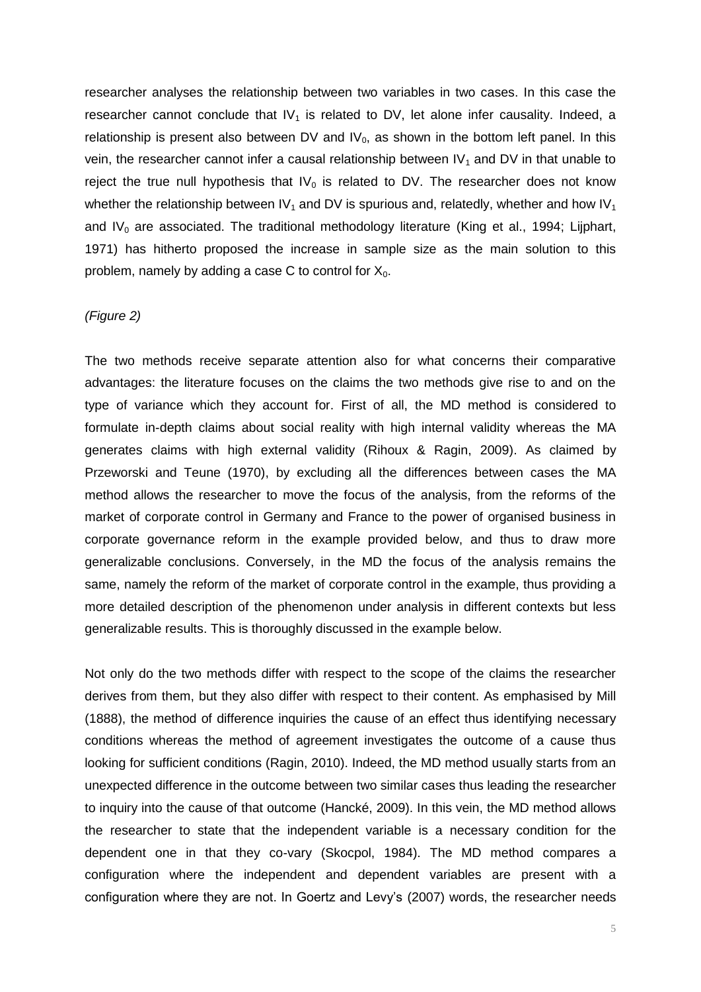researcher analyses the relationship between two variables in two cases. In this case the researcher cannot conclude that  $IV<sub>1</sub>$  is related to DV, let alone infer causality. Indeed, a relationship is present also between DV and  $IV<sub>0</sub>$ , as shown in the bottom left panel. In this vein, the researcher cannot infer a causal relationship between  $IV<sub>1</sub>$  and DV in that unable to reject the true null hypothesis that  $IV<sub>0</sub>$  is related to DV. The researcher does not know whether the relationship between IV<sub>1</sub> and DV is spurious and, relatedly, whether and how IV<sub>1</sub> and IV<sub>0</sub> are associated. The traditional methodology literature (King et al., 1994; Lijphart, 1971) has hitherto proposed the increase in sample size as the main solution to this problem, namely by adding a case C to control for  $X_0$ .

#### *(Figure 2)*

The two methods receive separate attention also for what concerns their comparative advantages: the literature focuses on the claims the two methods give rise to and on the type of variance which they account for. First of all, the MD method is considered to formulate in-depth claims about social reality with high internal validity whereas the MA generates claims with high external validity (Rihoux & Ragin, 2009). As claimed by Przeworski and Teune (1970), by excluding all the differences between cases the MA method allows the researcher to move the focus of the analysis, from the reforms of the market of corporate control in Germany and France to the power of organised business in corporate governance reform in the example provided below, and thus to draw more generalizable conclusions. Conversely, in the MD the focus of the analysis remains the same, namely the reform of the market of corporate control in the example, thus providing a more detailed description of the phenomenon under analysis in different contexts but less generalizable results. This is thoroughly discussed in the example below.

Not only do the two methods differ with respect to the scope of the claims the researcher derives from them, but they also differ with respect to their content. As emphasised by Mill (1888), the method of difference inquiries the cause of an effect thus identifying necessary conditions whereas the method of agreement investigates the outcome of a cause thus looking for sufficient conditions (Ragin, 2010). Indeed, the MD method usually starts from an unexpected difference in the outcome between two similar cases thus leading the researcher to inquiry into the cause of that outcome (Hancké, 2009). In this vein, the MD method allows the researcher to state that the independent variable is a necessary condition for the dependent one in that they co-vary (Skocpol, 1984). The MD method compares a configuration where the independent and dependent variables are present with a configuration where they are not. In Goertz and Levy's (2007) words, the researcher needs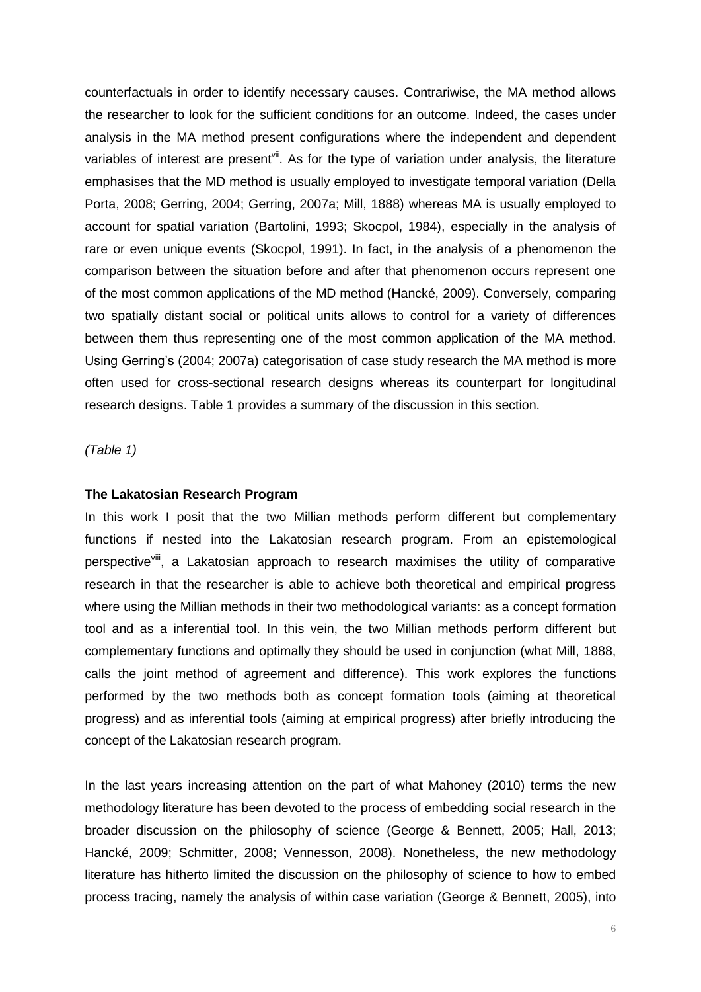counterfactuals in order to identify necessary causes. Contrariwise, the MA method allows the researcher to look for the sufficient conditions for an outcome. Indeed, the cases under analysis in the MA method present configurations where the independent and dependent variables of interest are present<sup>vii</sup>. As for the type of variation under analysis, the literature emphasises that the MD method is usually employed to investigate temporal variation (Della Porta, 2008; Gerring, 2004; Gerring, 2007a; Mill, 1888) whereas MA is usually employed to account for spatial variation (Bartolini, 1993; Skocpol, 1984), especially in the analysis of rare or even unique events (Skocpol, 1991). In fact, in the analysis of a phenomenon the comparison between the situation before and after that phenomenon occurs represent one of the most common applications of the MD method (Hancké, 2009). Conversely, comparing two spatially distant social or political units allows to control for a variety of differences between them thus representing one of the most common application of the MA method. Using Gerring's (2004; 2007a) categorisation of case study research the MA method is more often used for cross-sectional research designs whereas its counterpart for longitudinal research designs. Table 1 provides a summary of the discussion in this section.

#### *(Table 1)*

#### **The Lakatosian Research Program**

In this work I posit that the two Millian methods perform different but complementary functions if nested into the Lakatosian research program. From an epistemological perspective<sup>viii</sup>, a Lakatosian approach to research maximises the utility of comparative research in that the researcher is able to achieve both theoretical and empirical progress where using the Millian methods in their two methodological variants: as a concept formation tool and as a inferential tool. In this vein, the two Millian methods perform different but complementary functions and optimally they should be used in conjunction (what Mill, 1888, calls the joint method of agreement and difference). This work explores the functions performed by the two methods both as concept formation tools (aiming at theoretical progress) and as inferential tools (aiming at empirical progress) after briefly introducing the concept of the Lakatosian research program.

In the last years increasing attention on the part of what Mahoney (2010) terms the new methodology literature has been devoted to the process of embedding social research in the broader discussion on the philosophy of science (George & Bennett, 2005; Hall, 2013; Hancké, 2009; Schmitter, 2008; Vennesson, 2008). Nonetheless, the new methodology literature has hitherto limited the discussion on the philosophy of science to how to embed process tracing, namely the analysis of within case variation (George & Bennett, 2005), into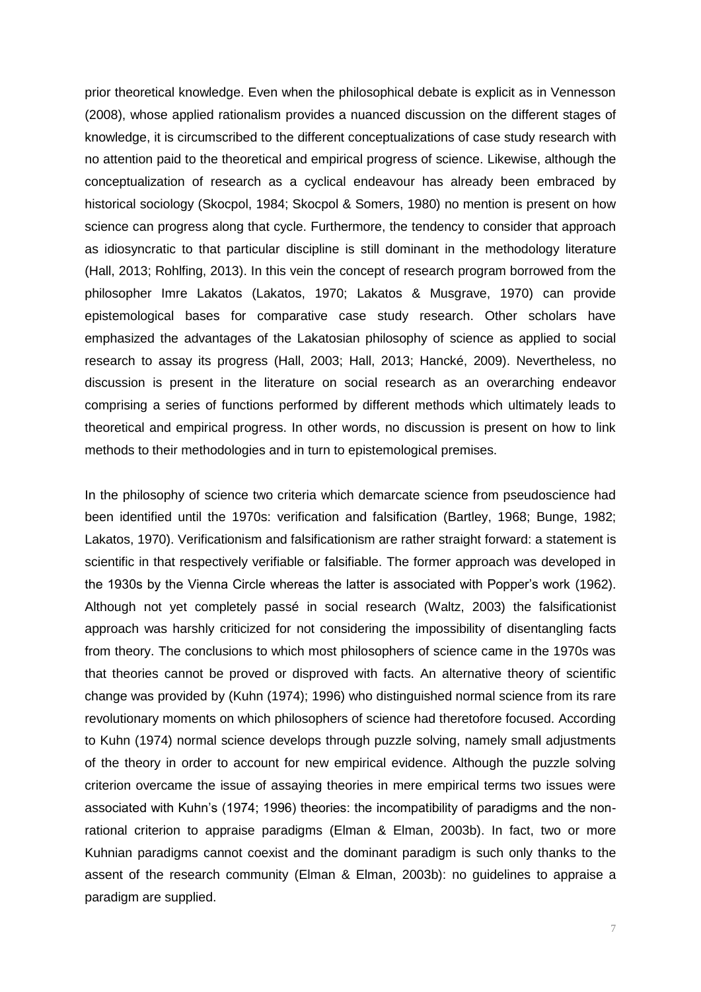prior theoretical knowledge. Even when the philosophical debate is explicit as in Vennesson (2008), whose applied rationalism provides a nuanced discussion on the different stages of knowledge, it is circumscribed to the different conceptualizations of case study research with no attention paid to the theoretical and empirical progress of science. Likewise, although the conceptualization of research as a cyclical endeavour has already been embraced by historical sociology (Skocpol, 1984; Skocpol & Somers, 1980) no mention is present on how science can progress along that cycle. Furthermore, the tendency to consider that approach as idiosyncratic to that particular discipline is still dominant in the methodology literature (Hall, 2013; Rohlfing, 2013). In this vein the concept of research program borrowed from the philosopher Imre Lakatos (Lakatos, 1970; Lakatos & Musgrave, 1970) can provide epistemological bases for comparative case study research. Other scholars have emphasized the advantages of the Lakatosian philosophy of science as applied to social research to assay its progress (Hall, 2003; Hall, 2013; Hancké, 2009). Nevertheless, no discussion is present in the literature on social research as an overarching endeavor comprising a series of functions performed by different methods which ultimately leads to theoretical and empirical progress. In other words, no discussion is present on how to link methods to their methodologies and in turn to epistemological premises.

In the philosophy of science two criteria which demarcate science from pseudoscience had been identified until the 1970s: verification and falsification (Bartley, 1968; Bunge, 1982; Lakatos, 1970). Verificationism and falsificationism are rather straight forward: a statement is scientific in that respectively verifiable or falsifiable. The former approach was developed in the 1930s by the Vienna Circle whereas the latter is associated with Popper's work (1962). Although not yet completely passé in social research (Waltz, 2003) the falsificationist approach was harshly criticized for not considering the impossibility of disentangling facts from theory. The conclusions to which most philosophers of science came in the 1970s was that theories cannot be proved or disproved with facts. An alternative theory of scientific change was provided by (Kuhn (1974); 1996) who distinguished normal science from its rare revolutionary moments on which philosophers of science had theretofore focused. According to Kuhn (1974) normal science develops through puzzle solving, namely small adjustments of the theory in order to account for new empirical evidence. Although the puzzle solving criterion overcame the issue of assaying theories in mere empirical terms two issues were associated with Kuhn's (1974; 1996) theories: the incompatibility of paradigms and the nonrational criterion to appraise paradigms (Elman & Elman, 2003b). In fact, two or more Kuhnian paradigms cannot coexist and the dominant paradigm is such only thanks to the assent of the research community (Elman & Elman, 2003b): no guidelines to appraise a paradigm are supplied.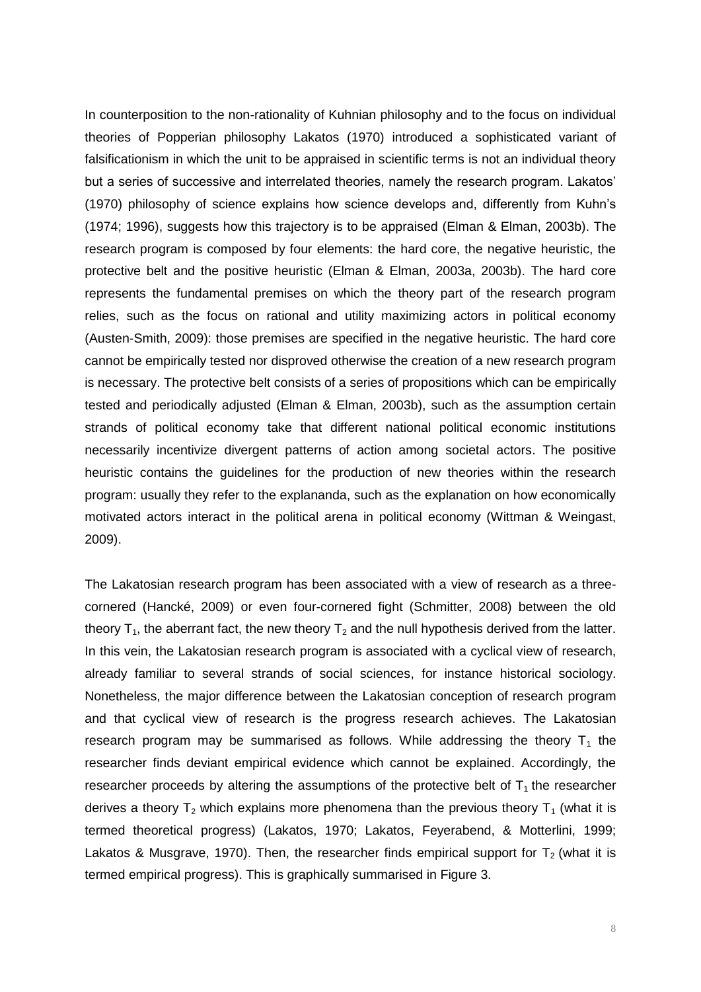In counterposition to the non-rationality of Kuhnian philosophy and to the focus on individual theories of Popperian philosophy Lakatos (1970) introduced a sophisticated variant of falsificationism in which the unit to be appraised in scientific terms is not an individual theory but a series of successive and interrelated theories, namely the research program. Lakatos' (1970) philosophy of science explains how science develops and, differently from Kuhn's (1974; 1996), suggests how this trajectory is to be appraised (Elman & Elman, 2003b). The research program is composed by four elements: the hard core, the negative heuristic, the protective belt and the positive heuristic (Elman & Elman, 2003a, 2003b). The hard core represents the fundamental premises on which the theory part of the research program relies, such as the focus on rational and utility maximizing actors in political economy (Austen-Smith, 2009): those premises are specified in the negative heuristic. The hard core cannot be empirically tested nor disproved otherwise the creation of a new research program is necessary. The protective belt consists of a series of propositions which can be empirically tested and periodically adjusted (Elman & Elman, 2003b), such as the assumption certain strands of political economy take that different national political economic institutions necessarily incentivize divergent patterns of action among societal actors. The positive heuristic contains the guidelines for the production of new theories within the research program: usually they refer to the explananda, such as the explanation on how economically motivated actors interact in the political arena in political economy (Wittman & Weingast, 2009).

The Lakatosian research program has been associated with a view of research as a threecornered (Hancké, 2009) or even four-cornered fight (Schmitter, 2008) between the old theory  $T_1$ , the aberrant fact, the new theory  $T_2$  and the null hypothesis derived from the latter. In this vein, the Lakatosian research program is associated with a cyclical view of research, already familiar to several strands of social sciences, for instance historical sociology. Nonetheless, the major difference between the Lakatosian conception of research program and that cyclical view of research is the progress research achieves. The Lakatosian research program may be summarised as follows. While addressing the theory  $T_1$  the researcher finds deviant empirical evidence which cannot be explained. Accordingly, the researcher proceeds by altering the assumptions of the protective belt of  $T_1$  the researcher derives a theory  $T_2$  which explains more phenomena than the previous theory  $T_1$  (what it is termed theoretical progress) (Lakatos, 1970; Lakatos, Feyerabend, & Motterlini, 1999; Lakatos & Musgrave, 1970). Then, the researcher finds empirical support for  $T_2$  (what it is termed empirical progress). This is graphically summarised in Figure 3.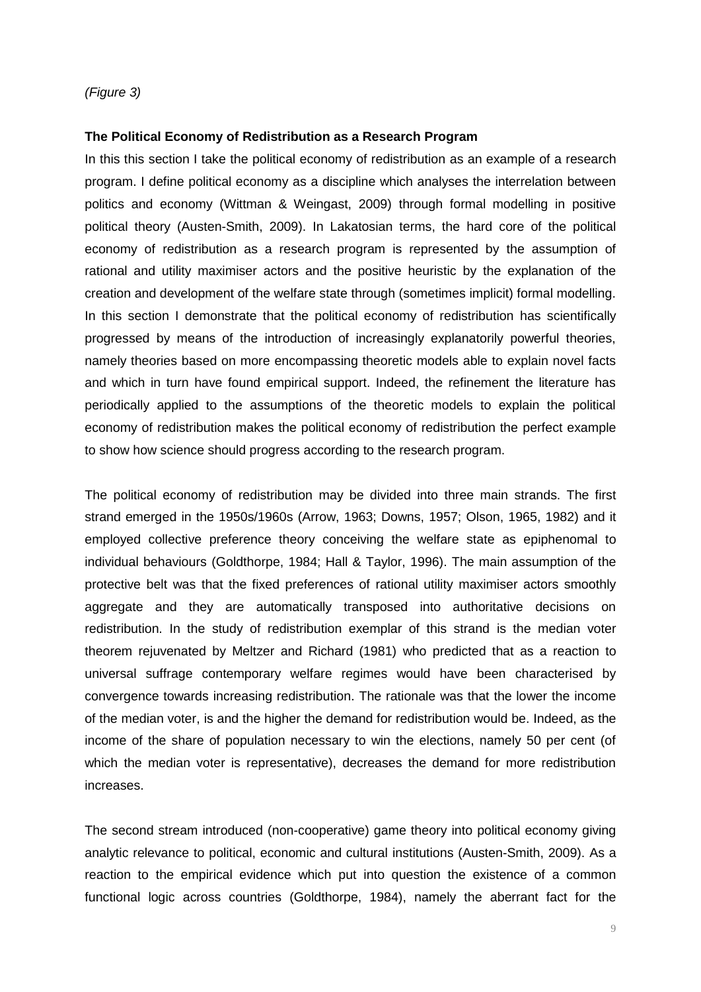#### *(Figure 3)*

#### **The Political Economy of Redistribution as a Research Program**

In this this section I take the political economy of redistribution as an example of a research program. I define political economy as a discipline which analyses the interrelation between politics and economy (Wittman & Weingast, 2009) through formal modelling in positive political theory (Austen-Smith, 2009). In Lakatosian terms, the hard core of the political economy of redistribution as a research program is represented by the assumption of rational and utility maximiser actors and the positive heuristic by the explanation of the creation and development of the welfare state through (sometimes implicit) formal modelling. In this section I demonstrate that the political economy of redistribution has scientifically progressed by means of the introduction of increasingly explanatorily powerful theories, namely theories based on more encompassing theoretic models able to explain novel facts and which in turn have found empirical support. Indeed, the refinement the literature has periodically applied to the assumptions of the theoretic models to explain the political economy of redistribution makes the political economy of redistribution the perfect example to show how science should progress according to the research program.

The political economy of redistribution may be divided into three main strands. The first strand emerged in the 1950s/1960s (Arrow, 1963; Downs, 1957; Olson, 1965, 1982) and it employed collective preference theory conceiving the welfare state as epiphenomal to individual behaviours (Goldthorpe, 1984; Hall & Taylor, 1996). The main assumption of the protective belt was that the fixed preferences of rational utility maximiser actors smoothly aggregate and they are automatically transposed into authoritative decisions on redistribution. In the study of redistribution exemplar of this strand is the median voter theorem rejuvenated by Meltzer and Richard (1981) who predicted that as a reaction to universal suffrage contemporary welfare regimes would have been characterised by convergence towards increasing redistribution. The rationale was that the lower the income of the median voter, is and the higher the demand for redistribution would be. Indeed, as the income of the share of population necessary to win the elections, namely 50 per cent (of which the median voter is representative), decreases the demand for more redistribution increases.

The second stream introduced (non-cooperative) game theory into political economy giving analytic relevance to political, economic and cultural institutions (Austen-Smith, 2009). As a reaction to the empirical evidence which put into question the existence of a common functional logic across countries (Goldthorpe, 1984), namely the aberrant fact for the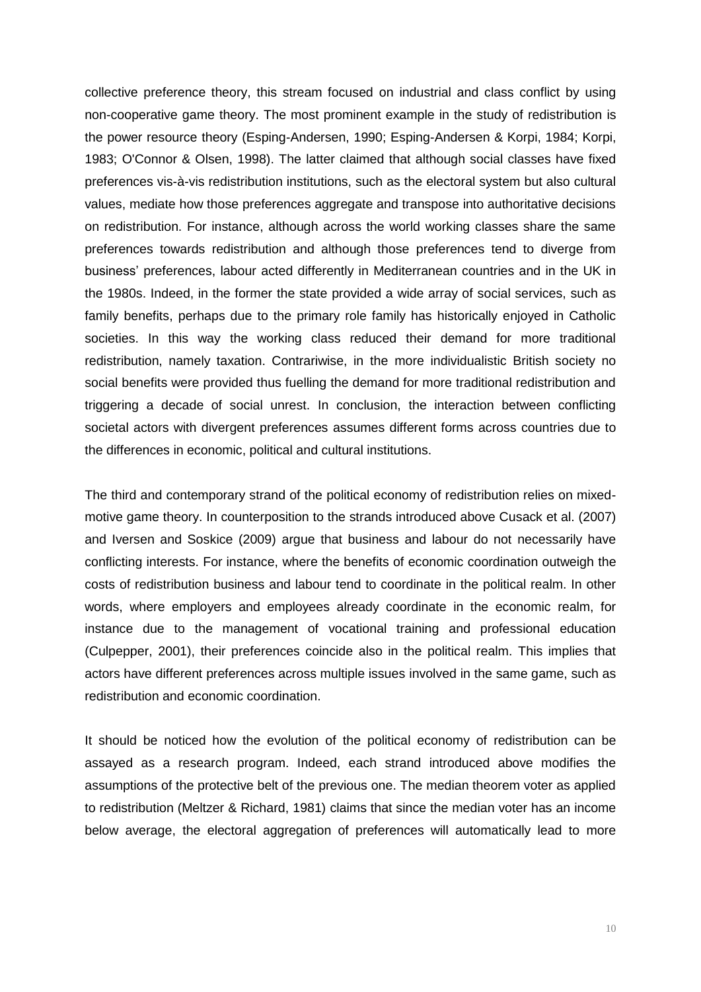collective preference theory, this stream focused on industrial and class conflict by using non-cooperative game theory. The most prominent example in the study of redistribution is the power resource theory (Esping-Andersen, 1990; Esping-Andersen & Korpi, 1984; Korpi, 1983; O'Connor & Olsen, 1998). The latter claimed that although social classes have fixed preferences vis-à-vis redistribution institutions, such as the electoral system but also cultural values, mediate how those preferences aggregate and transpose into authoritative decisions on redistribution. For instance, although across the world working classes share the same preferences towards redistribution and although those preferences tend to diverge from business' preferences, labour acted differently in Mediterranean countries and in the UK in the 1980s. Indeed, in the former the state provided a wide array of social services, such as family benefits, perhaps due to the primary role family has historically enjoyed in Catholic societies. In this way the working class reduced their demand for more traditional redistribution, namely taxation. Contrariwise, in the more individualistic British society no social benefits were provided thus fuelling the demand for more traditional redistribution and triggering a decade of social unrest. In conclusion, the interaction between conflicting societal actors with divergent preferences assumes different forms across countries due to the differences in economic, political and cultural institutions.

The third and contemporary strand of the political economy of redistribution relies on mixedmotive game theory. In counterposition to the strands introduced above Cusack et al. (2007) and Iversen and Soskice (2009) argue that business and labour do not necessarily have conflicting interests. For instance, where the benefits of economic coordination outweigh the costs of redistribution business and labour tend to coordinate in the political realm. In other words, where employers and employees already coordinate in the economic realm, for instance due to the management of vocational training and professional education (Culpepper, 2001), their preferences coincide also in the political realm. This implies that actors have different preferences across multiple issues involved in the same game, such as redistribution and economic coordination.

It should be noticed how the evolution of the political economy of redistribution can be assayed as a research program. Indeed, each strand introduced above modifies the assumptions of the protective belt of the previous one. The median theorem voter as applied to redistribution (Meltzer & Richard, 1981) claims that since the median voter has an income below average, the electoral aggregation of preferences will automatically lead to more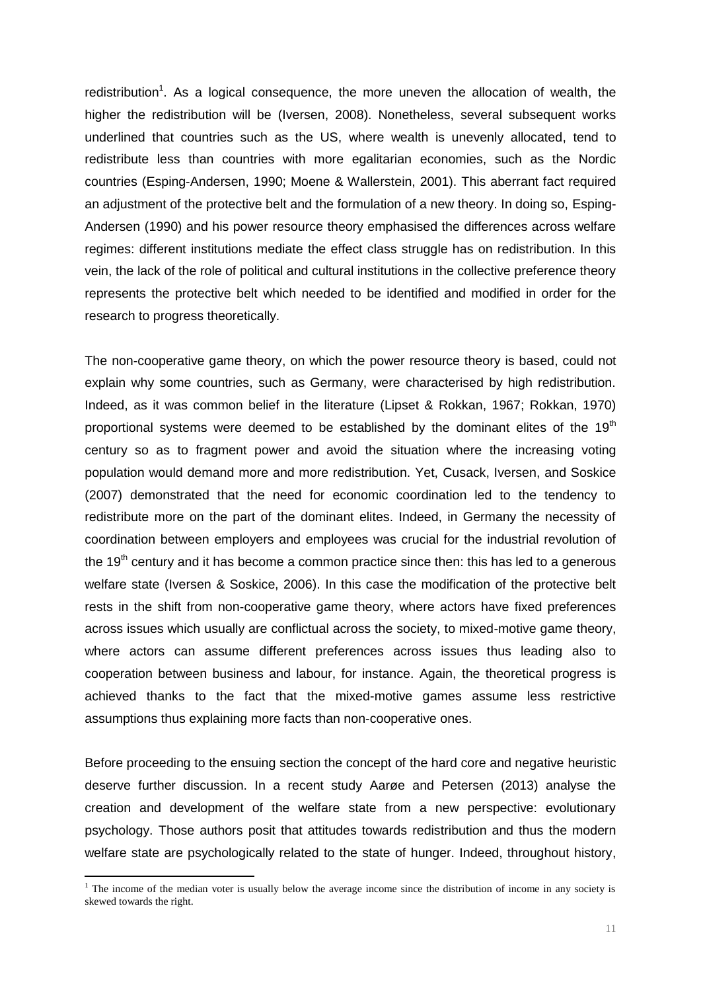redistribution<sup>1</sup>. As a logical consequence, the more uneven the allocation of wealth, the higher the redistribution will be (Iversen, 2008). Nonetheless, several subsequent works underlined that countries such as the US, where wealth is unevenly allocated, tend to redistribute less than countries with more egalitarian economies, such as the Nordic countries (Esping-Andersen, 1990; Moene & Wallerstein, 2001). This aberrant fact required an adjustment of the protective belt and the formulation of a new theory. In doing so, Esping-Andersen (1990) and his power resource theory emphasised the differences across welfare regimes: different institutions mediate the effect class struggle has on redistribution. In this vein, the lack of the role of political and cultural institutions in the collective preference theory represents the protective belt which needed to be identified and modified in order for the research to progress theoretically.

The non-cooperative game theory, on which the power resource theory is based, could not explain why some countries, such as Germany, were characterised by high redistribution. Indeed, as it was common belief in the literature (Lipset & Rokkan, 1967; Rokkan, 1970) proportional systems were deemed to be established by the dominant elites of the  $19<sup>th</sup>$ century so as to fragment power and avoid the situation where the increasing voting population would demand more and more redistribution. Yet, Cusack, Iversen, and Soskice (2007) demonstrated that the need for economic coordination led to the tendency to redistribute more on the part of the dominant elites. Indeed, in Germany the necessity of coordination between employers and employees was crucial for the industrial revolution of the  $19<sup>th</sup>$  century and it has become a common practice since then: this has led to a generous welfare state (Iversen & Soskice, 2006). In this case the modification of the protective belt rests in the shift from non-cooperative game theory, where actors have fixed preferences across issues which usually are conflictual across the society, to mixed-motive game theory, where actors can assume different preferences across issues thus leading also to cooperation between business and labour, for instance. Again, the theoretical progress is achieved thanks to the fact that the mixed-motive games assume less restrictive assumptions thus explaining more facts than non-cooperative ones.

Before proceeding to the ensuing section the concept of the hard core and negative heuristic deserve further discussion. In a recent study Aarøe and Petersen (2013) analyse the creation and development of the welfare state from a new perspective: evolutionary psychology. Those authors posit that attitudes towards redistribution and thus the modern welfare state are psychologically related to the state of hunger. Indeed, throughout history,

**.** 

 $<sup>1</sup>$  The income of the median voter is usually below the average income since the distribution of income in any society is</sup> skewed towards the right.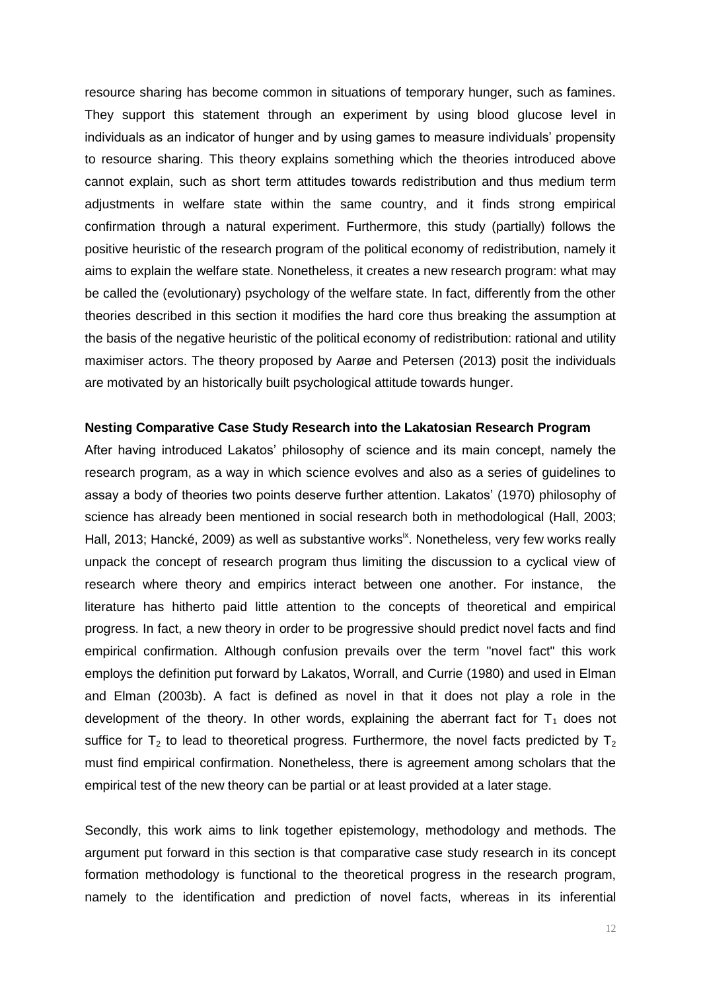resource sharing has become common in situations of temporary hunger, such as famines. They support this statement through an experiment by using blood glucose level in individuals as an indicator of hunger and by using games to measure individuals' propensity to resource sharing. This theory explains something which the theories introduced above cannot explain, such as short term attitudes towards redistribution and thus medium term adjustments in welfare state within the same country, and it finds strong empirical confirmation through a natural experiment. Furthermore, this study (partially) follows the positive heuristic of the research program of the political economy of redistribution, namely it aims to explain the welfare state. Nonetheless, it creates a new research program: what may be called the (evolutionary) psychology of the welfare state. In fact, differently from the other theories described in this section it modifies the hard core thus breaking the assumption at the basis of the negative heuristic of the political economy of redistribution: rational and utility maximiser actors. The theory proposed by Aarøe and Petersen (2013) posit the individuals are motivated by an historically built psychological attitude towards hunger.

#### **Nesting Comparative Case Study Research into the Lakatosian Research Program**

After having introduced Lakatos' philosophy of science and its main concept, namely the research program, as a way in which science evolves and also as a series of guidelines to assay a body of theories two points deserve further attention. Lakatos' (1970) philosophy of science has already been mentioned in social research both in methodological (Hall, 2003; Hall, 2013; Hancké, 2009) as well as substantive works<sup>ix</sup>. Nonetheless, very few works really unpack the concept of research program thus limiting the discussion to a cyclical view of research where theory and empirics interact between one another. For instance, the literature has hitherto paid little attention to the concepts of theoretical and empirical progress. In fact, a new theory in order to be progressive should predict novel facts and find empirical confirmation. Although confusion prevails over the term "novel fact" this work employs the definition put forward by Lakatos, Worrall, and Currie (1980) and used in Elman and Elman (2003b). A fact is defined as novel in that it does not play a role in the development of the theory. In other words, explaining the aberrant fact for  $T_1$  does not suffice for  $T_2$  to lead to theoretical progress. Furthermore, the novel facts predicted by  $T_2$ must find empirical confirmation. Nonetheless, there is agreement among scholars that the empirical test of the new theory can be partial or at least provided at a later stage.

Secondly, this work aims to link together epistemology, methodology and methods. The argument put forward in this section is that comparative case study research in its concept formation methodology is functional to the theoretical progress in the research program, namely to the identification and prediction of novel facts, whereas in its inferential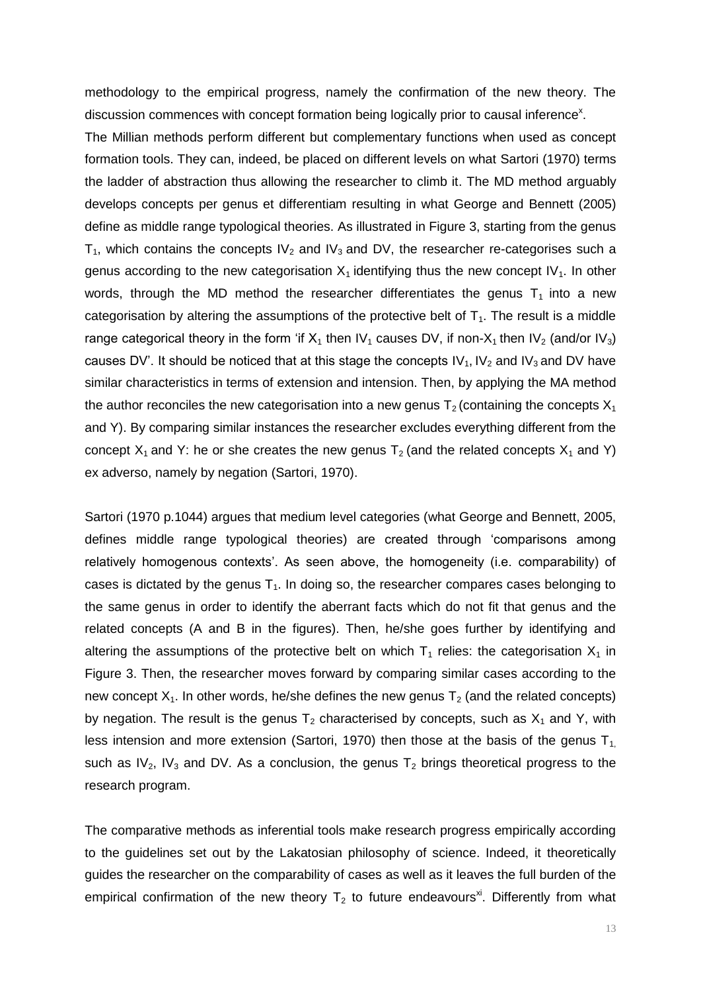methodology to the empirical progress, namely the confirmation of the new theory. The discussion commences with concept formation being logically prior to causal inference<sup>x</sup>.

The Millian methods perform different but complementary functions when used as concept formation tools. They can, indeed, be placed on different levels on what Sartori (1970) terms the ladder of abstraction thus allowing the researcher to climb it. The MD method arguably develops concepts per genus et differentiam resulting in what George and Bennett (2005) define as middle range typological theories. As illustrated in Figure 3, starting from the genus  $T_1$ , which contains the concepts IV<sub>2</sub> and IV<sub>3</sub> and DV, the researcher re-categorises such a genus according to the new categorisation  $X_1$  identifying thus the new concept IV<sub>1</sub>. In other words, through the MD method the researcher differentiates the genus  $T_1$  into a new categorisation by altering the assumptions of the protective belt of  $T<sub>1</sub>$ . The result is a middle range categorical theory in the form 'if  $X_1$  then IV<sub>1</sub> causes DV, if non-X<sub>1</sub> then IV<sub>2</sub> (and/or IV<sub>3</sub>) causes DV'. It should be noticed that at this stage the concepts  $IV_1$ ,  $IV_2$  and  $IV_3$  and DV have similar characteristics in terms of extension and intension. Then, by applying the MA method the author reconciles the new categorisation into a new genus  $T_2$  (containing the concepts  $X_1$ ) and Y). By comparing similar instances the researcher excludes everything different from the concept  $X_1$  and Y: he or she creates the new genus  $T_2$  (and the related concepts  $X_1$  and Y) ex adverso, namely by negation (Sartori, 1970).

Sartori (1970 p.1044) argues that medium level categories (what George and Bennett, 2005, defines middle range typological theories) are created through 'comparisons among relatively homogenous contexts'. As seen above, the homogeneity (i.e. comparability) of cases is dictated by the genus  $T_1$ . In doing so, the researcher compares cases belonging to the same genus in order to identify the aberrant facts which do not fit that genus and the related concepts (A and B in the figures). Then, he/she goes further by identifying and altering the assumptions of the protective belt on which  $T_1$  relies: the categorisation  $X_1$  in Figure 3. Then, the researcher moves forward by comparing similar cases according to the new concept  $X_1$ . In other words, he/she defines the new genus  $T_2$  (and the related concepts) by negation. The result is the genus  $T_2$  characterised by concepts, such as  $X_1$  and Y, with less intension and more extension (Sartori, 1970) then those at the basis of the genus  $T_{1}$ , such as  $IV_2$ ,  $IV_3$  and DV. As a conclusion, the genus  $T_2$  brings theoretical progress to the research program.

The comparative methods as inferential tools make research progress empirically according to the guidelines set out by the Lakatosian philosophy of science. Indeed, it theoretically guides the researcher on the comparability of cases as well as it leaves the full burden of the empirical confirmation of the new theory  $T_2$  to future endeavours<sup>xi</sup>. Differently from what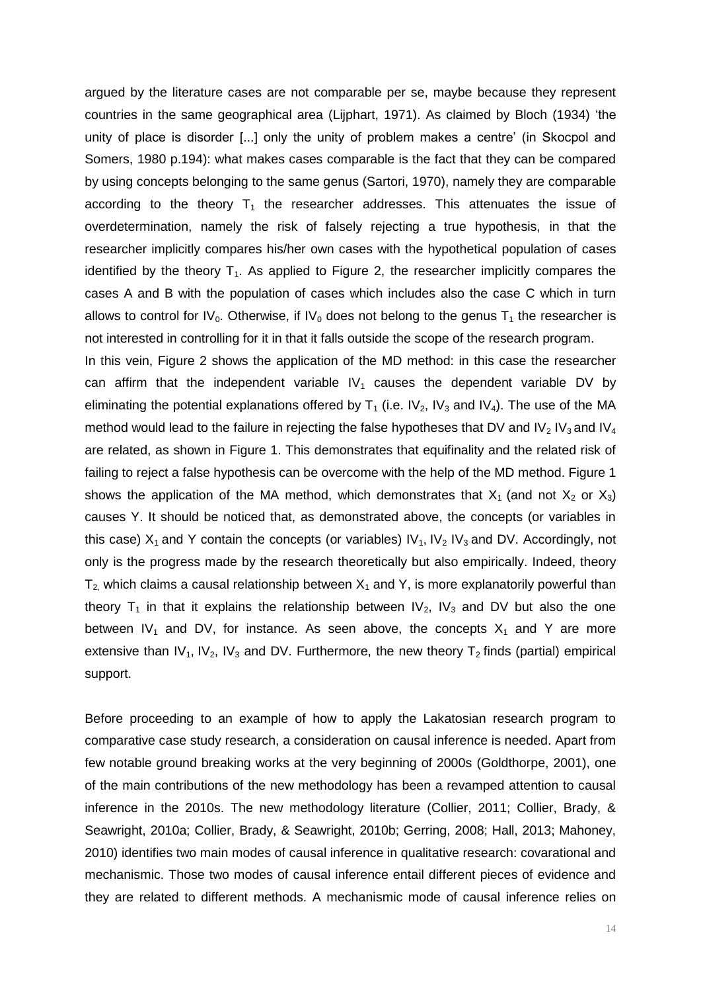argued by the literature cases are not comparable per se, maybe because they represent countries in the same geographical area (Lijphart, 1971). As claimed by Bloch (1934) 'the unity of place is disorder [...] only the unity of problem makes a centre' (in Skocpol and Somers, 1980 p.194): what makes cases comparable is the fact that they can be compared by using concepts belonging to the same genus (Sartori, 1970), namely they are comparable according to the theory  $T_1$  the researcher addresses. This attenuates the issue of overdetermination, namely the risk of falsely rejecting a true hypothesis, in that the researcher implicitly compares his/her own cases with the hypothetical population of cases identified by the theory  $T_1$ . As applied to Figure 2, the researcher implicitly compares the cases A and B with the population of cases which includes also the case C which in turn allows to control for IV<sub>0</sub>. Otherwise, if IV<sub>0</sub> does not belong to the genus T<sub>1</sub> the researcher is not interested in controlling for it in that it falls outside the scope of the research program.

In this vein, Figure 2 shows the application of the MD method: in this case the researcher can affirm that the independent variable  $IV_1$  causes the dependent variable DV by eliminating the potential explanations offered by  $T_1$  (i.e. IV<sub>2</sub>, IV<sub>3</sub> and IV<sub>4</sub>). The use of the MA method would lead to the failure in rejecting the false hypotheses that DV and IV<sub>2</sub> IV<sub>3</sub> and IV<sub>4</sub> are related, as shown in Figure 1. This demonstrates that equifinality and the related risk of failing to reject a false hypothesis can be overcome with the help of the MD method. Figure 1 shows the application of the MA method, which demonstrates that  $X_1$  (and not  $X_2$  or  $X_3$ ) causes Y. It should be noticed that, as demonstrated above, the concepts (or variables in this case)  $X_1$  and Y contain the concepts (or variables)  $IV_1$ ,  $IV_2$   $IV_3$  and DV. Accordingly, not only is the progress made by the research theoretically but also empirically. Indeed, theory  $T_{2}$ , which claims a causal relationship between  $X_1$  and Y, is more explanatorily powerful than theory  $T_1$  in that it explains the relationship between IV<sub>2</sub>, IV<sub>3</sub> and DV but also the one between IV<sub>1</sub> and DV, for instance. As seen above, the concepts  $X_1$  and Y are more extensive than IV<sub>1</sub>, IV<sub>2</sub>, IV<sub>3</sub> and DV. Furthermore, the new theory T<sub>2</sub> finds (partial) empirical support.

Before proceeding to an example of how to apply the Lakatosian research program to comparative case study research, a consideration on causal inference is needed. Apart from few notable ground breaking works at the very beginning of 2000s (Goldthorpe, 2001), one of the main contributions of the new methodology has been a revamped attention to causal inference in the 2010s. The new methodology literature (Collier, 2011; Collier, Brady, & Seawright, 2010a; Collier, Brady, & Seawright, 2010b; Gerring, 2008; Hall, 2013; Mahoney, 2010) identifies two main modes of causal inference in qualitative research: covarational and mechanismic. Those two modes of causal inference entail different pieces of evidence and they are related to different methods. A mechanismic mode of causal inference relies on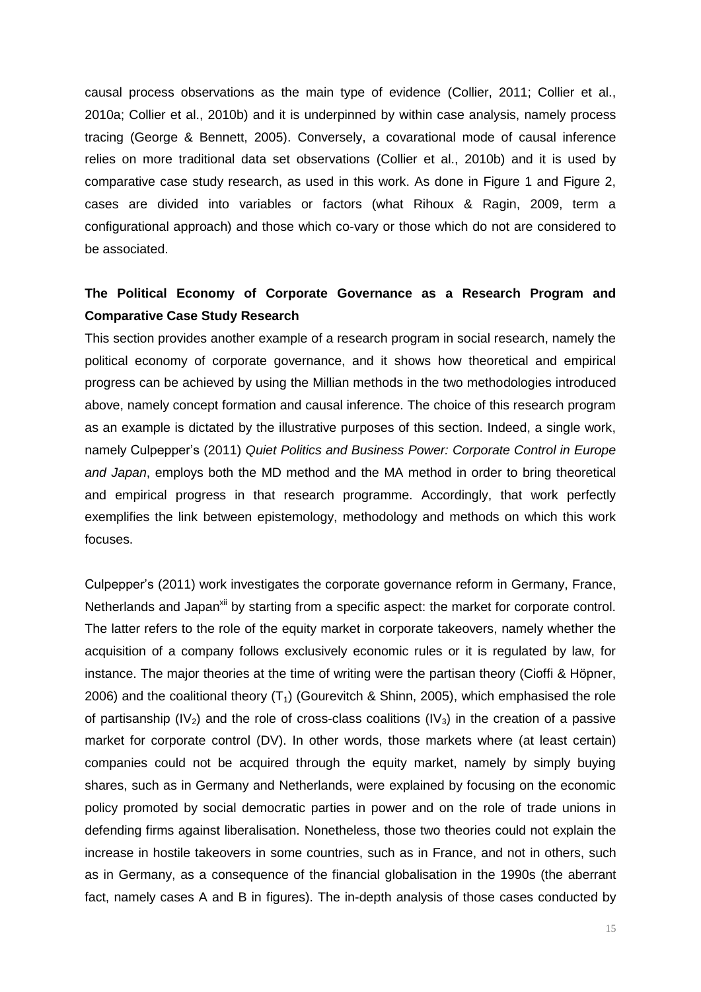causal process observations as the main type of evidence (Collier, 2011; Collier et al., 2010a; Collier et al., 2010b) and it is underpinned by within case analysis, namely process tracing (George & Bennett, 2005). Conversely, a covarational mode of causal inference relies on more traditional data set observations (Collier et al., 2010b) and it is used by comparative case study research, as used in this work. As done in Figure 1 and Figure 2, cases are divided into variables or factors (what Rihoux & Ragin, 2009, term a configurational approach) and those which co-vary or those which do not are considered to be associated.

# **The Political Economy of Corporate Governance as a Research Program and Comparative Case Study Research**

This section provides another example of a research program in social research, namely the political economy of corporate governance, and it shows how theoretical and empirical progress can be achieved by using the Millian methods in the two methodologies introduced above, namely concept formation and causal inference. The choice of this research program as an example is dictated by the illustrative purposes of this section. Indeed, a single work, namely Culpepper's (2011) *Quiet Politics and Business Power: Corporate Control in Europe and Japan*, employs both the MD method and the MA method in order to bring theoretical and empirical progress in that research programme. Accordingly, that work perfectly exemplifies the link between epistemology, methodology and methods on which this work focuses.

Culpepper's (2011) work investigates the corporate governance reform in Germany, France, Netherlands and Japan<sup>xii</sup> by starting from a specific aspect: the market for corporate control. The latter refers to the role of the equity market in corporate takeovers, namely whether the acquisition of a company follows exclusively economic rules or it is regulated by law, for instance. The major theories at the time of writing were the partisan theory (Cioffi & Höpner, 2006) and the coalitional theory  $(T_1)$  (Gourevitch & Shinn, 2005), which emphasised the role of partisanship (IV<sub>2</sub>) and the role of cross-class coalitions (IV<sub>3</sub>) in the creation of a passive market for corporate control (DV). In other words, those markets where (at least certain) companies could not be acquired through the equity market, namely by simply buying shares, such as in Germany and Netherlands, were explained by focusing on the economic policy promoted by social democratic parties in power and on the role of trade unions in defending firms against liberalisation. Nonetheless, those two theories could not explain the increase in hostile takeovers in some countries, such as in France, and not in others, such as in Germany, as a consequence of the financial globalisation in the 1990s (the aberrant fact, namely cases A and B in figures). The in-depth analysis of those cases conducted by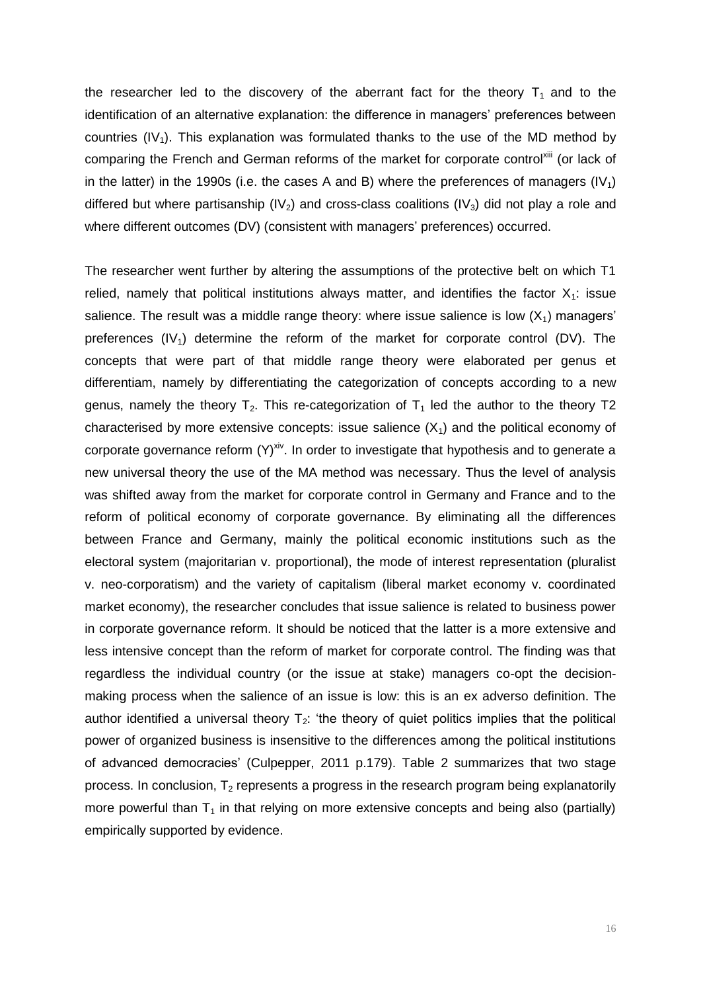the researcher led to the discovery of the aberrant fact for the theory  $T_1$  and to the identification of an alternative explanation: the difference in managers' preferences between countries  $(IV_1)$ . This explanation was formulated thanks to the use of the MD method by comparing the French and German reforms of the market for corporate controlxilli (or lack of in the latter) in the 1990s (i.e. the cases A and B) where the preferences of managers  $(IV<sub>1</sub>)$ differed but where partisanship (IV<sub>2</sub>) and cross-class coalitions (IV<sub>3</sub>) did not play a role and where different outcomes (DV) (consistent with managers' preferences) occurred.

The researcher went further by altering the assumptions of the protective belt on which T1 relied, namely that political institutions always matter, and identifies the factor  $X_1$ : issue salience. The result was a middle range theory: where issue salience is low  $(X_1)$  managers' preferences  $(IV_1)$  determine the reform of the market for corporate control (DV). The concepts that were part of that middle range theory were elaborated per genus et differentiam, namely by differentiating the categorization of concepts according to a new genus, namely the theory  $T_2$ . This re-categorization of  $T_1$  led the author to the theory T2 characterised by more extensive concepts: issue salience  $(X_1)$  and the political economy of corporate governance reform  $(Y)^{xiv}$ . In order to investigate that hypothesis and to generate a new universal theory the use of the MA method was necessary. Thus the level of analysis was shifted away from the market for corporate control in Germany and France and to the reform of political economy of corporate governance. By eliminating all the differences between France and Germany, mainly the political economic institutions such as the electoral system (majoritarian v. proportional), the mode of interest representation (pluralist v. neo-corporatism) and the variety of capitalism (liberal market economy v. coordinated market economy), the researcher concludes that issue salience is related to business power in corporate governance reform. It should be noticed that the latter is a more extensive and less intensive concept than the reform of market for corporate control. The finding was that regardless the individual country (or the issue at stake) managers co-opt the decisionmaking process when the salience of an issue is low: this is an ex adverso definition. The author identified a universal theory  $T_2$ : 'the theory of quiet politics implies that the political power of organized business is insensitive to the differences among the political institutions of advanced democracies' (Culpepper, 2011 p.179). Table 2 summarizes that two stage process. In conclusion,  $T_2$  represents a progress in the research program being explanatorily more powerful than  $T_1$  in that relying on more extensive concepts and being also (partially) empirically supported by evidence.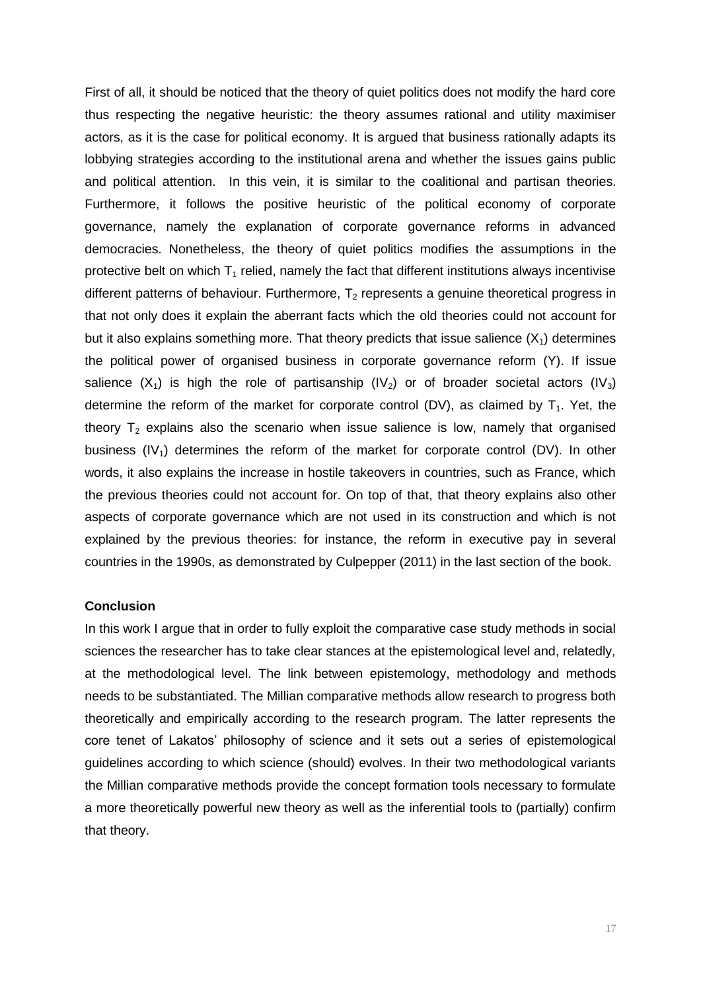First of all, it should be noticed that the theory of quiet politics does not modify the hard core thus respecting the negative heuristic: the theory assumes rational and utility maximiser actors, as it is the case for political economy. It is argued that business rationally adapts its lobbying strategies according to the institutional arena and whether the issues gains public and political attention. In this vein, it is similar to the coalitional and partisan theories. Furthermore, it follows the positive heuristic of the political economy of corporate governance, namely the explanation of corporate governance reforms in advanced democracies. Nonetheless, the theory of quiet politics modifies the assumptions in the protective belt on which  $T_1$  relied, namely the fact that different institutions always incentivise different patterns of behaviour. Furthermore,  $T_2$  represents a genuine theoretical progress in that not only does it explain the aberrant facts which the old theories could not account for but it also explains something more. That theory predicts that issue salience  $(X_1)$  determines the political power of organised business in corporate governance reform (Y). If issue salience  $(X_1)$  is high the role of partisanship  $(IV_2)$  or of broader societal actors  $(IV_3)$ determine the reform of the market for corporate control (DV), as claimed by  $T_1$ . Yet, the theory  $T_2$  explains also the scenario when issue salience is low, namely that organised business  $(IV_1)$  determines the reform of the market for corporate control (DV). In other words, it also explains the increase in hostile takeovers in countries, such as France, which the previous theories could not account for. On top of that, that theory explains also other aspects of corporate governance which are not used in its construction and which is not explained by the previous theories: for instance, the reform in executive pay in several countries in the 1990s, as demonstrated by Culpepper (2011) in the last section of the book.

#### **Conclusion**

In this work I argue that in order to fully exploit the comparative case study methods in social sciences the researcher has to take clear stances at the epistemological level and, relatedly, at the methodological level. The link between epistemology, methodology and methods needs to be substantiated. The Millian comparative methods allow research to progress both theoretically and empirically according to the research program. The latter represents the core tenet of Lakatos' philosophy of science and it sets out a series of epistemological guidelines according to which science (should) evolves. In their two methodological variants the Millian comparative methods provide the concept formation tools necessary to formulate a more theoretically powerful new theory as well as the inferential tools to (partially) confirm that theory.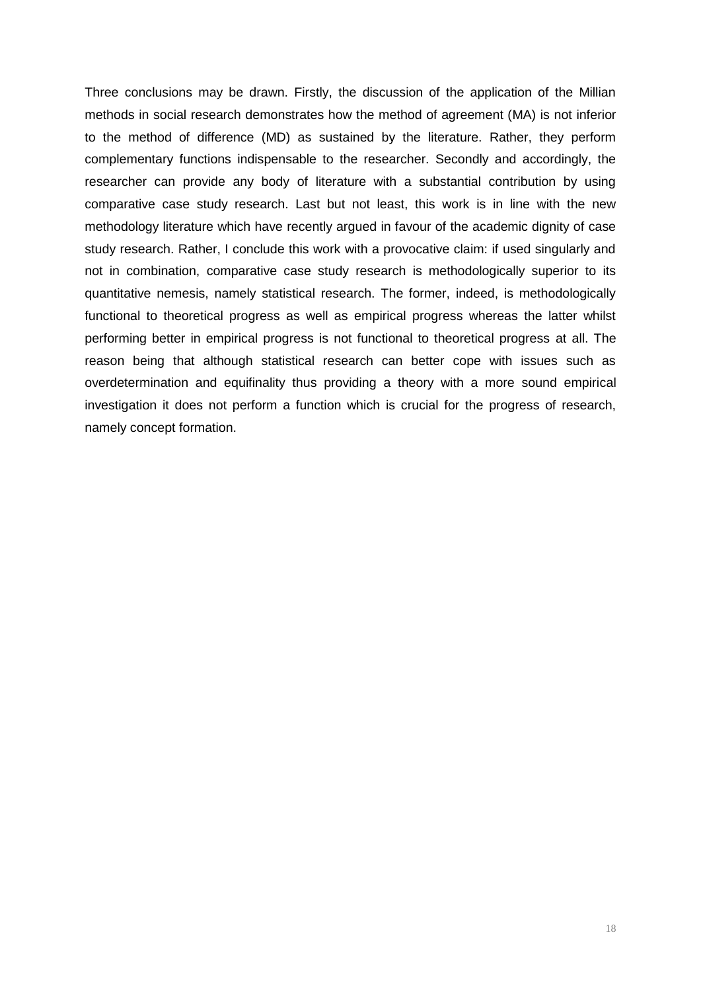Three conclusions may be drawn. Firstly, the discussion of the application of the Millian methods in social research demonstrates how the method of agreement (MA) is not inferior to the method of difference (MD) as sustained by the literature. Rather, they perform complementary functions indispensable to the researcher. Secondly and accordingly, the researcher can provide any body of literature with a substantial contribution by using comparative case study research. Last but not least, this work is in line with the new methodology literature which have recently argued in favour of the academic dignity of case study research. Rather, I conclude this work with a provocative claim: if used singularly and not in combination, comparative case study research is methodologically superior to its quantitative nemesis, namely statistical research. The former, indeed, is methodologically functional to theoretical progress as well as empirical progress whereas the latter whilst performing better in empirical progress is not functional to theoretical progress at all. The reason being that although statistical research can better cope with issues such as overdetermination and equifinality thus providing a theory with a more sound empirical investigation it does not perform a function which is crucial for the progress of research, namely concept formation.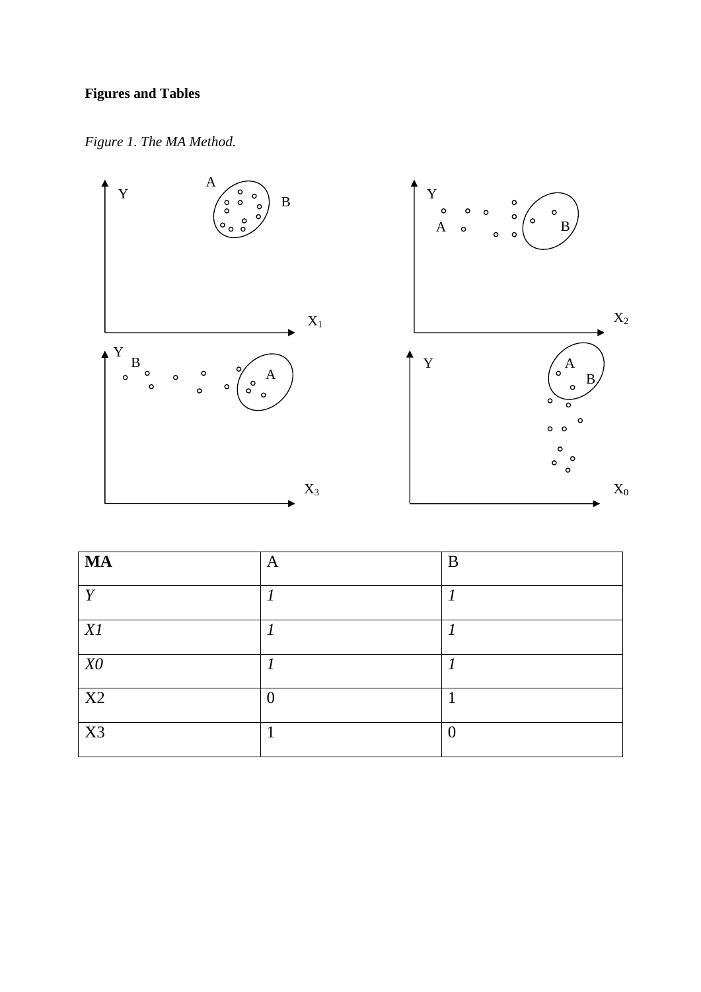# **Figures and Tables**

*Figure 1. The MA Method.*



| <b>MA</b>        | $\mathbf{A}$   | B        |
|------------------|----------------|----------|
| $\boldsymbol{Y}$ |                |          |
| X1               | 1              |          |
| X0               | $\prime$       |          |
| X2               | $\overline{0}$ |          |
| X3               |                | $\Omega$ |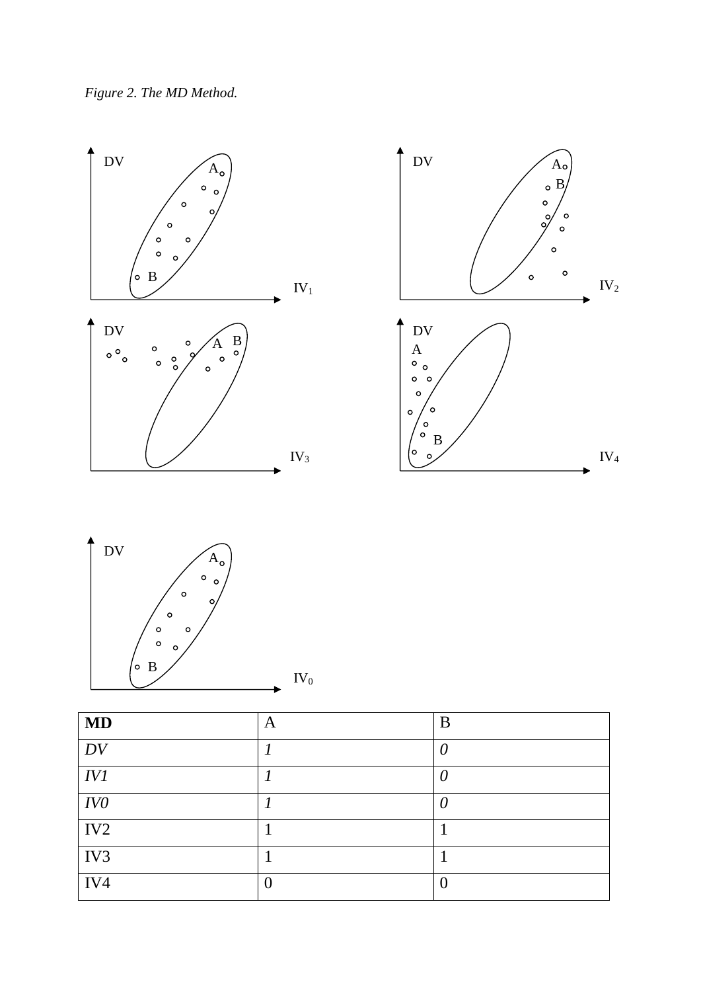



| <b>MD</b>       | A | B        |
|-----------------|---|----------|
| DV              |   | $\theta$ |
| <b>IV1</b>      |   | $\theta$ |
| IV <sub>0</sub> |   | 0        |
| IV <sub>2</sub> |   |          |
| IV3             |   |          |
| IV4             | 0 | $\theta$ |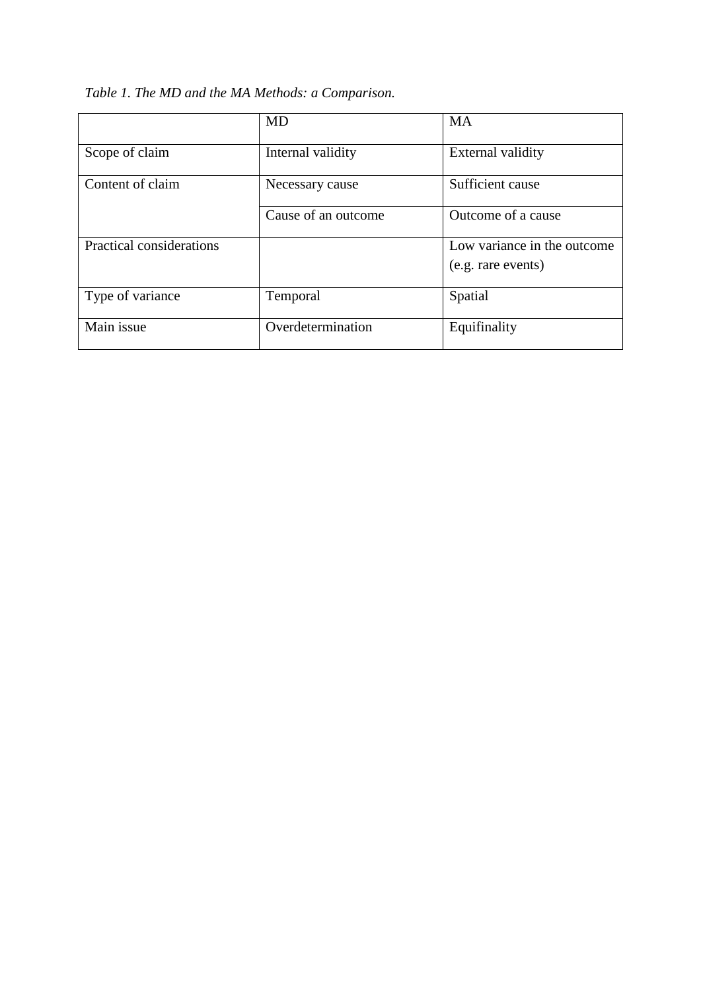|  |  |  |  |  |  | Table 1. The MD and the MA Methods: a Comparison. |
|--|--|--|--|--|--|---------------------------------------------------|
|--|--|--|--|--|--|---------------------------------------------------|

|                          | <b>MD</b>           | <b>MA</b>                   |
|--------------------------|---------------------|-----------------------------|
| Scope of claim           | Internal validity   | External validity           |
| Content of claim         | Necessary cause     | Sufficient cause            |
|                          | Cause of an outcome | Outcome of a cause          |
| Practical considerations |                     | Low variance in the outcome |
|                          |                     | (e.g. rare events)          |
| Type of variance         | Temporal            | Spatial                     |
| Main issue               | Overdetermination   | Equifinality                |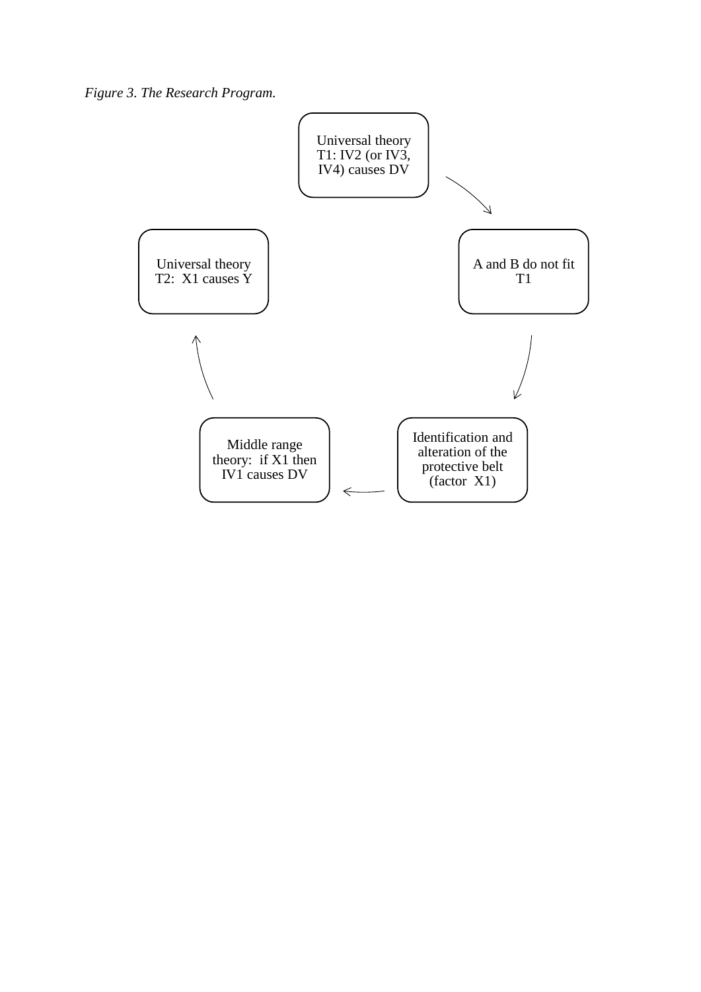*Figure 3. The Research Program.*

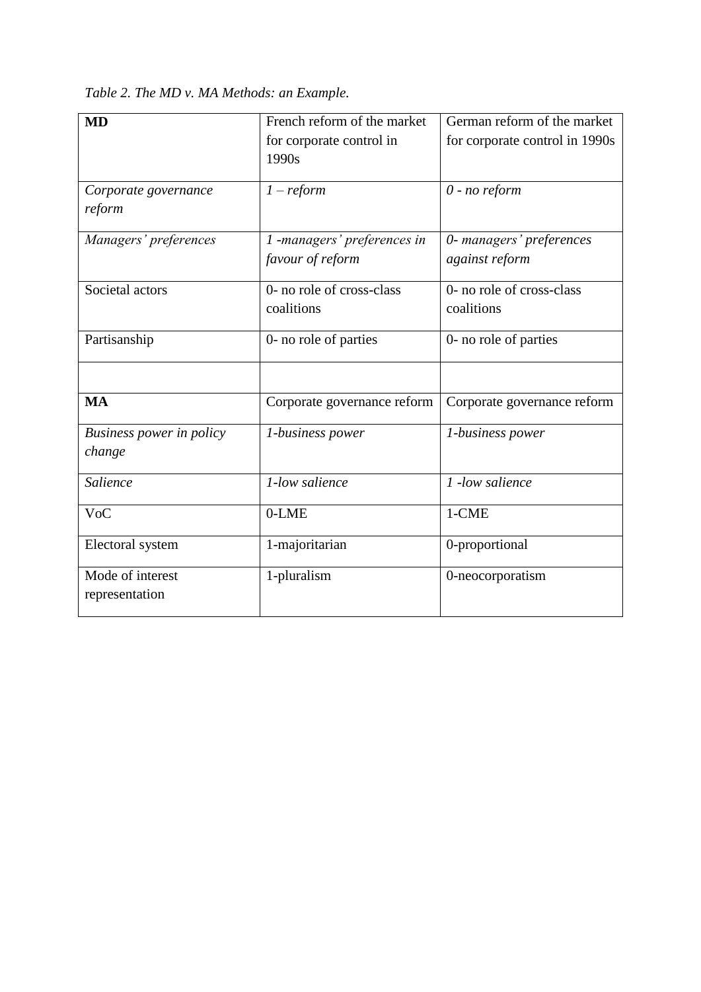*Table 2. The MD v. MA Methods: an Example.*

| <b>MD</b>                                 | French reform of the market<br>for corporate control in<br>1990s | German reform of the market<br>for corporate control in 1990s |
|-------------------------------------------|------------------------------------------------------------------|---------------------------------------------------------------|
| Corporate governance<br>reform            | $1-reform$                                                       | $0$ - no reform                                               |
| Managers' preferences                     | 1 -managers' preferences in<br>favour of reform                  | 0- managers' preferences<br>against reform                    |
| Societal actors                           | 0- no role of cross-class<br>coalitions                          | 0- no role of cross-class<br>coalitions                       |
| Partisanship                              | 0- no role of parties                                            | 0- no role of parties                                         |
|                                           |                                                                  |                                                               |
| <b>MA</b>                                 | Corporate governance reform                                      | Corporate governance reform                                   |
| <b>Business power in policy</b><br>change | 1-business power                                                 | 1-business power                                              |
| Salience                                  | 1-low salience                                                   | 1 -low salience                                               |
| <b>VoC</b>                                | 0-LME                                                            | 1-CME                                                         |
| Electoral system                          | 1-majoritarian                                                   | 0-proportional                                                |
| Mode of interest<br>representation        | 1-pluralism                                                      | 0-neocorporatism                                              |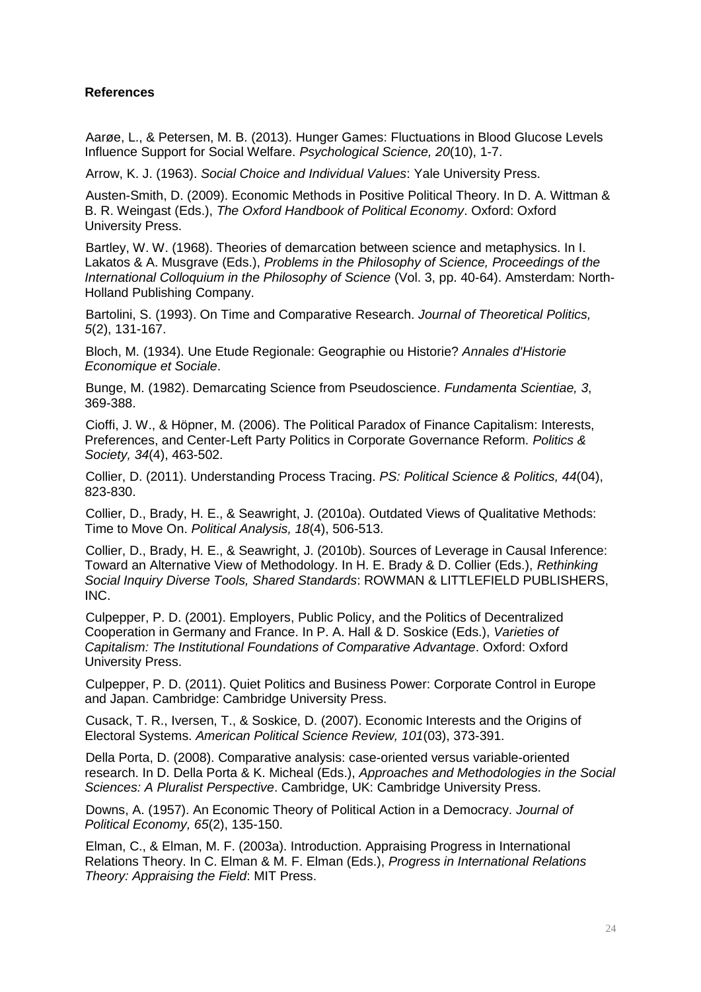# **References**

Aarøe, L., & Petersen, M. B. (2013). Hunger Games: Fluctuations in Blood Glucose Levels Influence Support for Social Welfare. *Psychological Science, 20*(10), 1-7.

Arrow, K. J. (1963). *Social Choice and Individual Values*: Yale University Press.

Austen-Smith, D. (2009). Economic Methods in Positive Political Theory. In D. A. Wittman & B. R. Weingast (Eds.), *The Oxford Handbook of Political Economy*. Oxford: Oxford University Press.

Bartley, W. W. (1968). Theories of demarcation between science and metaphysics. In I. Lakatos & A. Musgrave (Eds.), *Problems in the Philosophy of Science, Proceedings of the International Colloquium in the Philosophy of Science* (Vol. 3, pp. 40-64). Amsterdam: North-Holland Publishing Company.

Bartolini, S. (1993). On Time and Comparative Research. *Journal of Theoretical Politics, 5*(2), 131-167.

Bloch, M. (1934). Une Etude Regionale: Geographie ou Historie? *Annales d'Historie Economique et Sociale*.

Bunge, M. (1982). Demarcating Science from Pseudoscience. *Fundamenta Scientiae, 3*, 369-388.

Cioffi, J. W., & Höpner, M. (2006). The Political Paradox of Finance Capitalism: Interests, Preferences, and Center-Left Party Politics in Corporate Governance Reform. *Politics & Society, 34*(4), 463-502.

Collier, D. (2011). Understanding Process Tracing. *PS: Political Science & Politics, 44*(04), 823-830.

Collier, D., Brady, H. E., & Seawright, J. (2010a). Outdated Views of Qualitative Methods: Time to Move On. *Political Analysis, 18*(4), 506-513.

Collier, D., Brady, H. E., & Seawright, J. (2010b). Sources of Leverage in Causal Inference: Toward an Alternative View of Methodology. In H. E. Brady & D. Collier (Eds.), *Rethinking Social Inquiry Diverse Tools, Shared Standards*: ROWMAN & LITTLEFIELD PUBLISHERS, INC.

Culpepper, P. D. (2001). Employers, Public Policy, and the Politics of Decentralized Cooperation in Germany and France. In P. A. Hall & D. Soskice (Eds.), *Varieties of Capitalism: The Institutional Foundations of Comparative Advantage*. Oxford: Oxford University Press.

Culpepper, P. D. (2011). Quiet Politics and Business Power: Corporate Control in Europe and Japan. Cambridge: Cambridge University Press.

Cusack, T. R., Iversen, T., & Soskice, D. (2007). Economic Interests and the Origins of Electoral Systems. *American Political Science Review, 101*(03), 373-391.

Della Porta, D. (2008). Comparative analysis: case-oriented versus variable-oriented research. In D. Della Porta & K. Micheal (Eds.), *Approaches and Methodologies in the Social Sciences: A Pluralist Perspective*. Cambridge, UK: Cambridge University Press.

Downs, A. (1957). An Economic Theory of Political Action in a Democracy. *Journal of Political Economy, 65*(2), 135-150.

Elman, C., & Elman, M. F. (2003a). Introduction. Appraising Progress in International Relations Theory. In C. Elman & M. F. Elman (Eds.), *Progress in International Relations Theory: Appraising the Field*: MIT Press.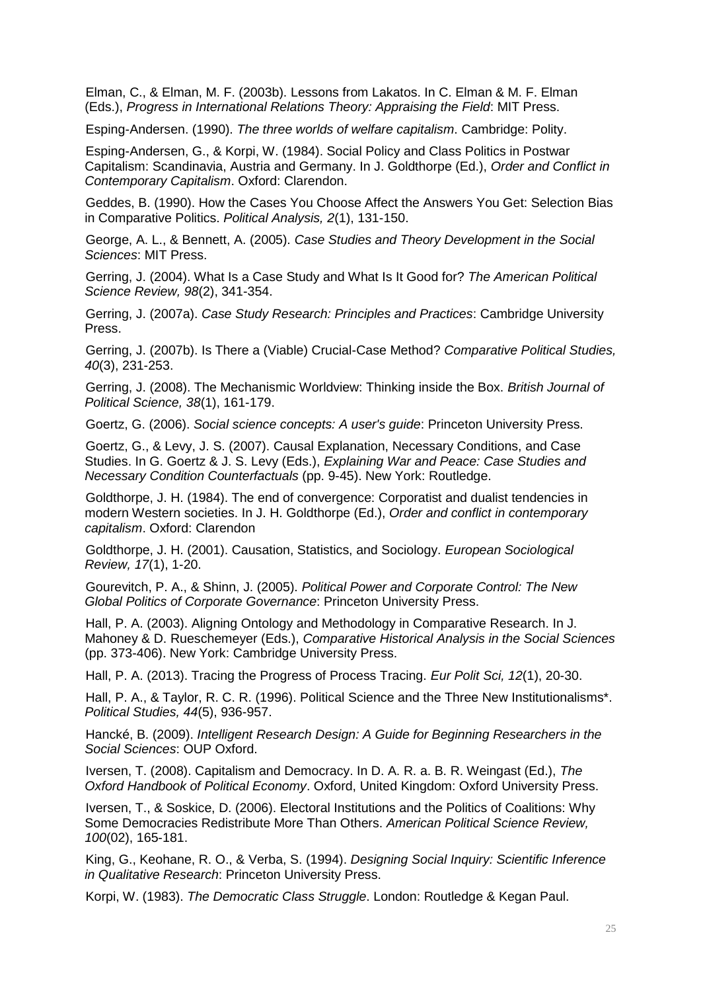Elman, C., & Elman, M. F. (2003b). Lessons from Lakatos. In C. Elman & M. F. Elman (Eds.), *Progress in International Relations Theory: Appraising the Field*: MIT Press.

Esping-Andersen. (1990). *The three worlds of welfare capitalism*. Cambridge: Polity.

Esping-Andersen, G., & Korpi, W. (1984). Social Policy and Class Politics in Postwar Capitalism: Scandinavia, Austria and Germany. In J. Goldthorpe (Ed.), *Order and Conflict in Contemporary Capitalism*. Oxford: Clarendon.

Geddes, B. (1990). How the Cases You Choose Affect the Answers You Get: Selection Bias in Comparative Politics. *Political Analysis, 2*(1), 131-150.

George, A. L., & Bennett, A. (2005). *Case Studies and Theory Development in the Social Sciences*: MIT Press.

Gerring, J. (2004). What Is a Case Study and What Is It Good for? *The American Political Science Review, 98*(2), 341-354.

Gerring, J. (2007a). *Case Study Research: Principles and Practices*: Cambridge University Press.

Gerring, J. (2007b). Is There a (Viable) Crucial-Case Method? *Comparative Political Studies, 40*(3), 231-253.

Gerring, J. (2008). The Mechanismic Worldview: Thinking inside the Box. *British Journal of Political Science, 38*(1), 161-179.

Goertz, G. (2006). *Social science concepts: A user's guide*: Princeton University Press.

Goertz, G., & Levy, J. S. (2007). Causal Explanation, Necessary Conditions, and Case Studies. In G. Goertz & J. S. Levy (Eds.), *Explaining War and Peace: Case Studies and Necessary Condition Counterfactuals* (pp. 9-45). New York: Routledge.

Goldthorpe, J. H. (1984). The end of convergence: Corporatist and dualist tendencies in modern Western societies. In J. H. Goldthorpe (Ed.), *Order and conflict in contemporary capitalism*. Oxford: Clarendon

Goldthorpe, J. H. (2001). Causation, Statistics, and Sociology. *European Sociological Review, 17*(1), 1-20.

Gourevitch, P. A., & Shinn, J. (2005). *Political Power and Corporate Control: The New Global Politics of Corporate Governance*: Princeton University Press.

Hall, P. A. (2003). Aligning Ontology and Methodology in Comparative Research. In J. Mahoney & D. Rueschemeyer (Eds.), *Comparative Historical Analysis in the Social Sciences* (pp. 373-406). New York: Cambridge University Press.

Hall, P. A. (2013). Tracing the Progress of Process Tracing. *Eur Polit Sci, 12*(1), 20-30.

Hall, P. A., & Taylor, R. C. R. (1996). Political Science and the Three New Institutionalisms\*. *Political Studies, 44*(5), 936-957.

Hancké, B. (2009). *Intelligent Research Design: A Guide for Beginning Researchers in the Social Sciences*: OUP Oxford.

Iversen, T. (2008). Capitalism and Democracy. In D. A. R. a. B. R. Weingast (Ed.), *The Oxford Handbook of Political Economy*. Oxford, United Kingdom: Oxford University Press.

Iversen, T., & Soskice, D. (2006). Electoral Institutions and the Politics of Coalitions: Why Some Democracies Redistribute More Than Others. *American Political Science Review, 100*(02), 165-181.

King, G., Keohane, R. O., & Verba, S. (1994). *Designing Social Inquiry: Scientific Inference in Qualitative Research*: Princeton University Press.

Korpi, W. (1983). *The Democratic Class Struggle*. London: Routledge & Kegan Paul.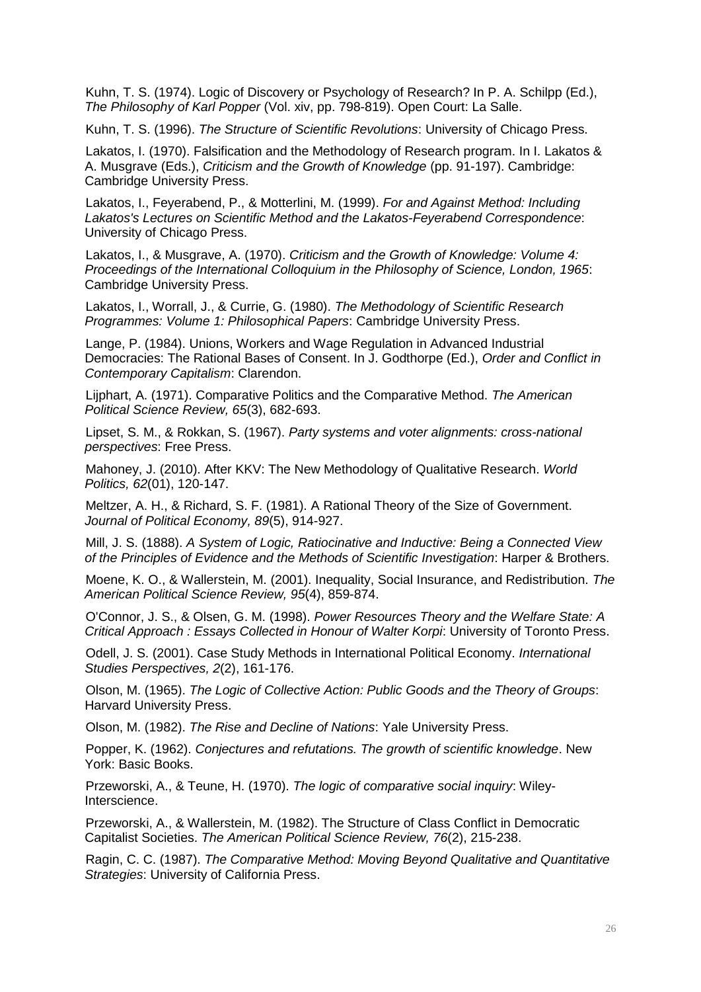Kuhn, T. S. (1974). Logic of Discovery or Psychology of Research? In P. A. Schilpp (Ed.), *The Philosophy of Karl Popper* (Vol. xiv, pp. 798-819). Open Court: La Salle.

Kuhn, T. S. (1996). *The Structure of Scientific Revolutions*: University of Chicago Press.

Lakatos, I. (1970). Falsification and the Methodology of Research program. In I. Lakatos & A. Musgrave (Eds.), *Criticism and the Growth of Knowledge* (pp. 91-197). Cambridge: Cambridge University Press.

Lakatos, I., Feyerabend, P., & Motterlini, M. (1999). *For and Against Method: Including Lakatos's Lectures on Scientific Method and the Lakatos-Feyerabend Correspondence*: University of Chicago Press.

Lakatos, I., & Musgrave, A. (1970). *Criticism and the Growth of Knowledge: Volume 4: Proceedings of the International Colloquium in the Philosophy of Science, London, 1965*: Cambridge University Press.

Lakatos, I., Worrall, J., & Currie, G. (1980). *The Methodology of Scientific Research Programmes: Volume 1: Philosophical Papers*: Cambridge University Press.

Lange, P. (1984). Unions, Workers and Wage Regulation in Advanced Industrial Democracies: The Rational Bases of Consent. In J. Godthorpe (Ed.), *Order and Conflict in Contemporary Capitalism*: Clarendon.

Lijphart, A. (1971). Comparative Politics and the Comparative Method. *The American Political Science Review, 65*(3), 682-693.

Lipset, S. M., & Rokkan, S. (1967). *Party systems and voter alignments: cross-national perspectives*: Free Press.

Mahoney, J. (2010). After KKV: The New Methodology of Qualitative Research. *World Politics, 62*(01), 120-147.

Meltzer, A. H., & Richard, S. F. (1981). A Rational Theory of the Size of Government. *Journal of Political Economy, 89*(5), 914-927.

Mill, J. S. (1888). *A System of Logic, Ratiocinative and Inductive: Being a Connected View of the Principles of Evidence and the Methods of Scientific Investigation*: Harper & Brothers.

Moene, K. O., & Wallerstein, M. (2001). Inequality, Social Insurance, and Redistribution. *The American Political Science Review, 95*(4), 859-874.

O'Connor, J. S., & Olsen, G. M. (1998). *Power Resources Theory and the Welfare State: A Critical Approach : Essays Collected in Honour of Walter Korpi*: University of Toronto Press.

Odell, J. S. (2001). Case Study Methods in International Political Economy. *International Studies Perspectives, 2*(2), 161-176.

Olson, M. (1965). *The Logic of Collective Action: Public Goods and the Theory of Groups*: Harvard University Press.

Olson, M. (1982). *The Rise and Decline of Nations*: Yale University Press.

Popper, K. (1962). *Conjectures and refutations. The growth of scientific knowledge*. New York: Basic Books.

Przeworski, A., & Teune, H. (1970). *The logic of comparative social inquiry*: Wiley-Interscience.

Przeworski, A., & Wallerstein, M. (1982). The Structure of Class Conflict in Democratic Capitalist Societies. *The American Political Science Review, 76*(2), 215-238.

Ragin, C. C. (1987). *The Comparative Method: Moving Beyond Qualitative and Quantitative Strategies*: University of California Press.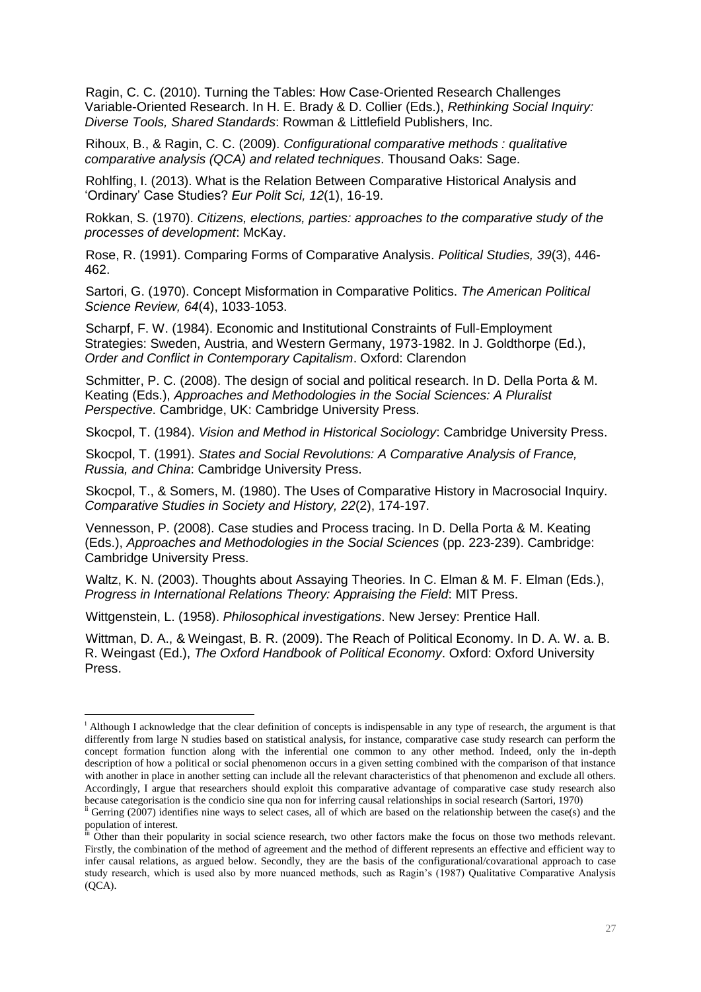Ragin, C. C. (2010). Turning the Tables: How Case-Oriented Research Challenges Variable-Oriented Research. In H. E. Brady & D. Collier (Eds.), *Rethinking Social Inquiry: Diverse Tools, Shared Standards*: Rowman & Littlefield Publishers, Inc.

Rihoux, B., & Ragin, C. C. (2009). *Configurational comparative methods : qualitative comparative analysis (QCA) and related techniques*. Thousand Oaks: Sage.

Rohlfing, I. (2013). What is the Relation Between Comparative Historical Analysis and 'Ordinary' Case Studies? *Eur Polit Sci, 12*(1), 16-19.

Rokkan, S. (1970). *Citizens, elections, parties: approaches to the comparative study of the processes of development*: McKay.

Rose, R. (1991). Comparing Forms of Comparative Analysis. *Political Studies, 39*(3), 446- 462.

Sartori, G. (1970). Concept Misformation in Comparative Politics. *The American Political Science Review, 64*(4), 1033-1053.

Scharpf, F. W. (1984). Economic and Institutional Constraints of Full-Employment Strategies: Sweden, Austria, and Western Germany, 1973-1982. In J. Goldthorpe (Ed.), *Order and Conflict in Contemporary Capitalism*. Oxford: Clarendon

Schmitter, P. C. (2008). The design of social and political research. In D. Della Porta & M. Keating (Eds.), *Approaches and Methodologies in the Social Sciences: A Pluralist Perspective*. Cambridge, UK: Cambridge University Press.

Skocpol, T. (1984). *Vision and Method in Historical Sociology*: Cambridge University Press.

Skocpol, T. (1991). *States and Social Revolutions: A Comparative Analysis of France, Russia, and China*: Cambridge University Press.

Skocpol, T., & Somers, M. (1980). The Uses of Comparative History in Macrosocial Inquiry. *Comparative Studies in Society and History, 22*(2), 174-197.

Vennesson, P. (2008). Case studies and Process tracing. In D. Della Porta & M. Keating (Eds.), *Approaches and Methodologies in the Social Sciences* (pp. 223-239). Cambridge: Cambridge University Press.

Waltz, K. N. (2003). Thoughts about Assaying Theories. In C. Elman & M. F. Elman (Eds.), *Progress in International Relations Theory: Appraising the Field*: MIT Press.

Wittgenstein, L. (1958). *Philosophical investigations*. New Jersey: Prentice Hall.

**.** 

Wittman, D. A., & Weingast, B. R. (2009). The Reach of Political Economy. In D. A. W. a. B. R. Weingast (Ed.), *The Oxford Handbook of Political Economy*. Oxford: Oxford University Press.

<sup>&</sup>lt;sup>i</sup> Although I acknowledge that the clear definition of concepts is indispensable in any type of research, the argument is that differently from large N studies based on statistical analysis, for instance, comparative case study research can perform the concept formation function along with the inferential one common to any other method. Indeed, only the in-depth description of how a political or social phenomenon occurs in a given setting combined with the comparison of that instance with another in place in another setting can include all the relevant characteristics of that phenomenon and exclude all others. Accordingly, I argue that researchers should exploit this comparative advantage of comparative case study research also because categorisation is the condicio sine qua non for inferring causal relationships in social research (Sartori, 1970)

ii Gerring (2007) identifies nine ways to select cases, all of which are based on the relationship between the case(s) and the population of interest.

<sup>&</sup>lt;sup>iii</sup> Other than their popularity in social science research, two other factors make the focus on those two methods relevant. Firstly, the combination of the method of agreement and the method of different represents an effective and efficient way to infer causal relations, as argued below. Secondly, they are the basis of the configurational/covarational approach to case study research, which is used also by more nuanced methods, such as Ragin's (1987) Qualitative Comparative Analysis (QCA).